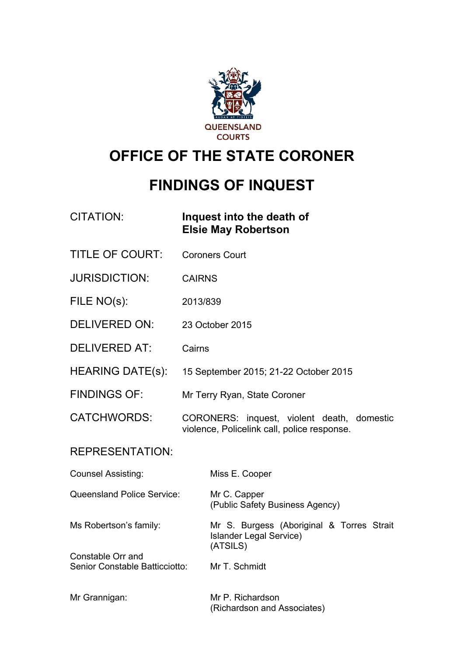

# **OFFICE OF THE STATE CORONER**

# **FINDINGS OF INQUEST**

| <b>CITATION:</b>                                    | Inquest into the death of<br><b>Elsie May Robertson</b>                                   |
|-----------------------------------------------------|-------------------------------------------------------------------------------------------|
| <b>TITLE OF COURT:</b>                              | <b>Coroners Court</b>                                                                     |
| <b>JURISDICTION:</b>                                | <b>CAIRNS</b>                                                                             |
| FILE NO(s):                                         | 2013/839                                                                                  |
| <b>DELIVERED ON:</b>                                | 23 October 2015                                                                           |
| <b>DELIVERED AT:</b>                                | Cairns                                                                                    |
| <b>HEARING DATE(s):</b>                             | 15 September 2015; 21-22 October 2015                                                     |
| <b>FINDINGS OF:</b>                                 | Mr Terry Ryan, State Coroner                                                              |
| <b>CATCHWORDS:</b>                                  | CORONERS: inquest, violent death, domestic<br>violence, Policelink call, police response. |
| <b>REPRESENTATION:</b>                              |                                                                                           |
| <b>Counsel Assisting:</b>                           | Miss E. Cooper                                                                            |
| <b>Queensland Police Service:</b>                   | Mr C. Capper<br>(Public Safety Business Agency)                                           |
| Ms Robertson's family:                              | Mr S. Burgess (Aboriginal & Torres Strait<br><b>Islander Legal Service)</b><br>(ATSILS)   |
| Constable Orr and<br>Senior Constable Batticciotto: | Mr T. Schmidt                                                                             |
| Mr Grannigan:                                       | Mr P. Richardson<br>(Richardson and Associates)                                           |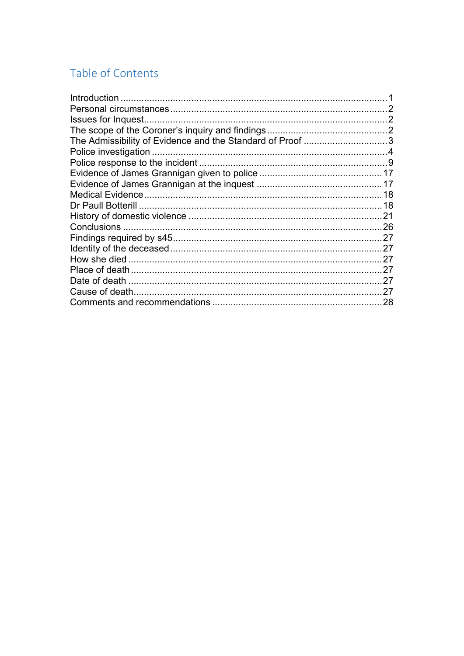# Table of Contents

| Introduction                                              |     |
|-----------------------------------------------------------|-----|
|                                                           |     |
| Issues for Inquest.                                       |     |
|                                                           |     |
| The Admissibility of Evidence and the Standard of Proof 3 |     |
|                                                           |     |
|                                                           |     |
|                                                           |     |
|                                                           |     |
|                                                           | 18  |
|                                                           | 18  |
|                                                           | 21  |
|                                                           | .26 |
|                                                           | .27 |
|                                                           |     |
|                                                           | 27  |
|                                                           | 27  |
|                                                           | 27  |
|                                                           | 27  |
|                                                           | 28  |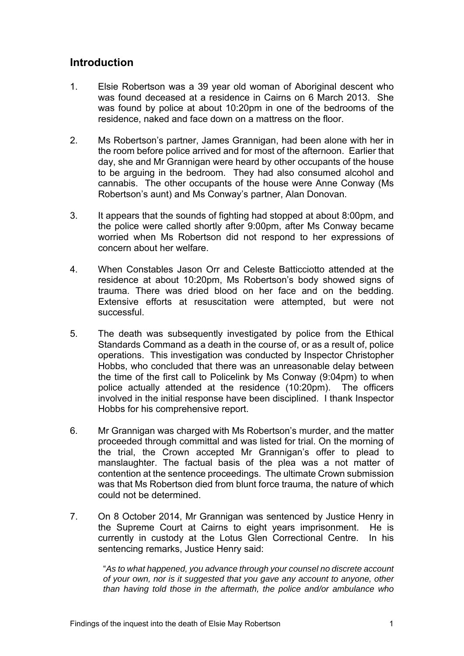# **Introduction**

- 1. Elsie Robertson was a 39 year old woman of Aboriginal descent who was found deceased at a residence in Cairns on 6 March 2013. She was found by police at about 10:20pm in one of the bedrooms of the residence, naked and face down on a mattress on the floor.
- 2. Ms Robertson's partner, James Grannigan, had been alone with her in the room before police arrived and for most of the afternoon. Earlier that day, she and Mr Grannigan were heard by other occupants of the house to be arguing in the bedroom. They had also consumed alcohol and cannabis. The other occupants of the house were Anne Conway (Ms Robertson's aunt) and Ms Conway's partner, Alan Donovan.
- 3. It appears that the sounds of fighting had stopped at about 8:00pm, and the police were called shortly after 9:00pm, after Ms Conway became worried when Ms Robertson did not respond to her expressions of concern about her welfare.
- 4. When Constables Jason Orr and Celeste Batticciotto attended at the residence at about 10:20pm, Ms Robertson's body showed signs of trauma. There was dried blood on her face and on the bedding. Extensive efforts at resuscitation were attempted, but were not successful.
- 5. The death was subsequently investigated by police from the Ethical Standards Command as a death in the course of, or as a result of, police operations. This investigation was conducted by Inspector Christopher Hobbs, who concluded that there was an unreasonable delay between the time of the first call to Policelink by Ms Conway (9:04pm) to when police actually attended at the residence (10:20pm). The officers involved in the initial response have been disciplined. I thank Inspector Hobbs for his comprehensive report.
- 6. Mr Grannigan was charged with Ms Robertson's murder, and the matter proceeded through committal and was listed for trial. On the morning of the trial, the Crown accepted Mr Grannigan's offer to plead to manslaughter. The factual basis of the plea was a not matter of contention at the sentence proceedings. The ultimate Crown submission was that Ms Robertson died from blunt force trauma, the nature of which could not be determined.
- 7. On 8 October 2014, Mr Grannigan was sentenced by Justice Henry in the Supreme Court at Cairns to eight years imprisonment. He is currently in custody at the Lotus Glen Correctional Centre. In his sentencing remarks, Justice Henry said:

"*As to what happened, you advance through your counsel no discrete account of your own, nor is it suggested that you gave any account to anyone, other than having told those in the aftermath, the police and/or ambulance who*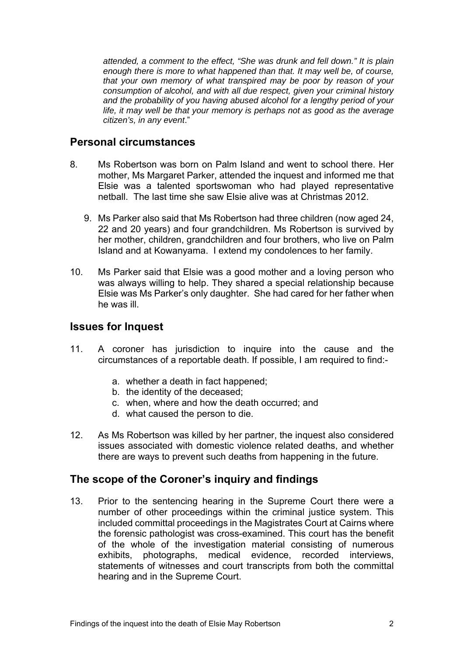*attended, a comment to the effect, "She was drunk and fell down." It is plain enough there is more to what happened than that. It may well be, of course, that your own memory of what transpired may be poor by reason of your consumption of alcohol, and with all due respect, given your criminal history and the probability of you having abused alcohol for a lengthy period of your life, it may well be that your memory is perhaps not as good as the average citizen's, in any event*."

# **Personal circumstances**

- 8. Ms Robertson was born on Palm Island and went to school there. Her mother, Ms Margaret Parker, attended the inquest and informed me that Elsie was a talented sportswoman who had played representative netball. The last time she saw Elsie alive was at Christmas 2012.
	- 9. Ms Parker also said that Ms Robertson had three children (now aged 24, 22 and 20 years) and four grandchildren. Ms Robertson is survived by her mother, children, grandchildren and four brothers, who live on Palm Island and at Kowanyama. I extend my condolences to her family.
- 10. Ms Parker said that Elsie was a good mother and a loving person who was always willing to help. They shared a special relationship because Elsie was Ms Parker's only daughter. She had cared for her father when he was ill.

# **Issues for Inquest**

- 11. A coroner has jurisdiction to inquire into the cause and the circumstances of a reportable death. If possible, I am required to find:
	- a. whether a death in fact happened;
	- b. the identity of the deceased;
	- c. when, where and how the death occurred; and
	- d. what caused the person to die.
- 12. As Ms Robertson was killed by her partner, the inquest also considered issues associated with domestic violence related deaths, and whether there are ways to prevent such deaths from happening in the future.

# **The scope of the Coroner's inquiry and findings**

13. Prior to the sentencing hearing in the Supreme Court there were a number of other proceedings within the criminal justice system. This included committal proceedings in the Magistrates Court at Cairns where the forensic pathologist was cross-examined. This court has the benefit of the whole of the investigation material consisting of numerous exhibits, photographs, medical evidence, recorded interviews. statements of witnesses and court transcripts from both the committal hearing and in the Supreme Court.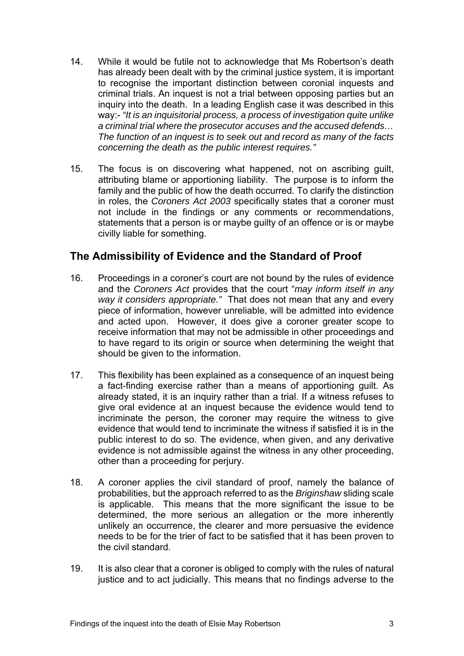- 14. While it would be futile not to acknowledge that Ms Robertson's death has already been dealt with by the criminal justice system, it is important to recognise the important distinction between coronial inquests and criminal trials. An inquest is not a trial between opposing parties but an inquiry into the death. In a leading English case it was described in this way:- *"It is an inquisitorial process, a process of investigation quite unlike a criminal trial where the prosecutor accuses and the accused defends… The function of an inquest is to seek out and record as many of the facts concerning the death as the public interest requires."*
- 15. The focus is on discovering what happened, not on ascribing guilt, attributing blame or apportioning liability. The purpose is to inform the family and the public of how the death occurred. To clarify the distinction in roles, the *Coroners Act 2003* specifically states that a coroner must not include in the findings or any comments or recommendations, statements that a person is or maybe guilty of an offence or is or maybe civilly liable for something.

# **The Admissibility of Evidence and the Standard of Proof**

- 16. Proceedings in a coroner's court are not bound by the rules of evidence and the *Coroners Act* provides that the court "*may inform itself in any way it considers appropriate."* That does not mean that any and every piece of information, however unreliable, will be admitted into evidence and acted upon. However, it does give a coroner greater scope to receive information that may not be admissible in other proceedings and to have regard to its origin or source when determining the weight that should be given to the information.
- 17. This flexibility has been explained as a consequence of an inquest being a fact-finding exercise rather than a means of apportioning guilt. As already stated, it is an inquiry rather than a trial. If a witness refuses to give oral evidence at an inquest because the evidence would tend to incriminate the person, the coroner may require the witness to give evidence that would tend to incriminate the witness if satisfied it is in the public interest to do so. The evidence, when given, and any derivative evidence is not admissible against the witness in any other proceeding, other than a proceeding for perjury.
- 18. A coroner applies the civil standard of proof, namely the balance of probabilities, but the approach referred to as the *Briginshaw* sliding scale is applicable. This means that the more significant the issue to be determined, the more serious an allegation or the more inherently unlikely an occurrence, the clearer and more persuasive the evidence needs to be for the trier of fact to be satisfied that it has been proven to the civil standard.
- 19. It is also clear that a coroner is obliged to comply with the rules of natural justice and to act judicially. This means that no findings adverse to the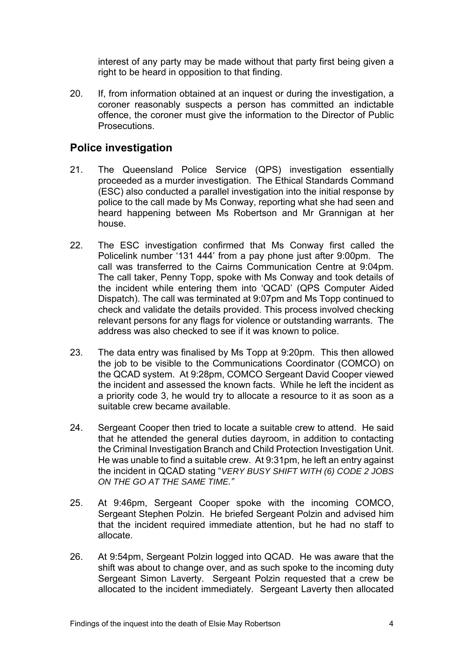interest of any party may be made without that party first being given a right to be heard in opposition to that finding.

20. If, from information obtained at an inquest or during the investigation, a coroner reasonably suspects a person has committed an indictable offence, the coroner must give the information to the Director of Public Prosecutions.

# **Police investigation**

- 21. The Queensland Police Service (QPS) investigation essentially proceeded as a murder investigation. The Ethical Standards Command (ESC) also conducted a parallel investigation into the initial response by police to the call made by Ms Conway, reporting what she had seen and heard happening between Ms Robertson and Mr Grannigan at her house.
- 22. The ESC investigation confirmed that Ms Conway first called the Policelink number '131 444' from a pay phone just after 9:00pm. The call was transferred to the Cairns Communication Centre at 9:04pm. The call taker, Penny Topp, spoke with Ms Conway and took details of the incident while entering them into 'QCAD' (QPS Computer Aided Dispatch). The call was terminated at 9:07pm and Ms Topp continued to check and validate the details provided. This process involved checking relevant persons for any flags for violence or outstanding warrants. The address was also checked to see if it was known to police.
- 23. The data entry was finalised by Ms Topp at 9:20pm. This then allowed the job to be visible to the Communications Coordinator (COMCO) on the QCAD system. At 9:28pm, COMCO Sergeant David Cooper viewed the incident and assessed the known facts. While he left the incident as a priority code 3, he would try to allocate a resource to it as soon as a suitable crew became available.
- 24. Sergeant Cooper then tried to locate a suitable crew to attend. He said that he attended the general duties dayroom, in addition to contacting the Criminal Investigation Branch and Child Protection Investigation Unit. He was unable to find a suitable crew. At 9:31pm, he left an entry against the incident in QCAD stating "*VERY BUSY SHIFT WITH (6) CODE 2 JOBS ON THE GO AT THE SAME TIME."*
- 25. At 9:46pm, Sergeant Cooper spoke with the incoming COMCO, Sergeant Stephen Polzin. He briefed Sergeant Polzin and advised him that the incident required immediate attention, but he had no staff to allocate.
- 26. At 9:54pm, Sergeant Polzin logged into QCAD. He was aware that the shift was about to change over, and as such spoke to the incoming duty Sergeant Simon Laverty. Sergeant Polzin requested that a crew be allocated to the incident immediately. Sergeant Laverty then allocated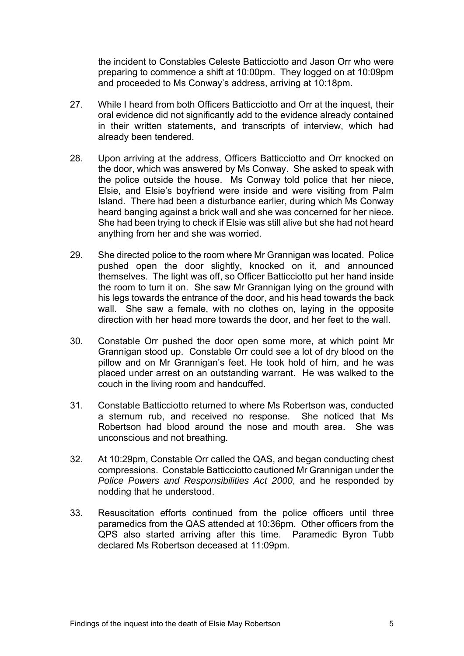the incident to Constables Celeste Batticciotto and Jason Orr who were preparing to commence a shift at 10:00pm. They logged on at 10:09pm and proceeded to Ms Conway's address, arriving at 10:18pm.

- 27. While I heard from both Officers Batticciotto and Orr at the inquest, their oral evidence did not significantly add to the evidence already contained in their written statements, and transcripts of interview, which had already been tendered.
- 28. Upon arriving at the address, Officers Batticciotto and Orr knocked on the door, which was answered by Ms Conway. She asked to speak with the police outside the house. Ms Conway told police that her niece, Elsie, and Elsie's boyfriend were inside and were visiting from Palm Island. There had been a disturbance earlier, during which Ms Conway heard banging against a brick wall and she was concerned for her niece. She had been trying to check if Elsie was still alive but she had not heard anything from her and she was worried.
- 29. She directed police to the room where Mr Grannigan was located. Police pushed open the door slightly, knocked on it, and announced themselves. The light was off, so Officer Batticciotto put her hand inside the room to turn it on. She saw Mr Grannigan lying on the ground with his legs towards the entrance of the door, and his head towards the back wall. She saw a female, with no clothes on, laying in the opposite direction with her head more towards the door, and her feet to the wall.
- 30. Constable Orr pushed the door open some more, at which point Mr Grannigan stood up. Constable Orr could see a lot of dry blood on the pillow and on Mr Grannigan's feet. He took hold of him, and he was placed under arrest on an outstanding warrant. He was walked to the couch in the living room and handcuffed.
- 31. Constable Batticciotto returned to where Ms Robertson was, conducted a sternum rub, and received no response. She noticed that Ms Robertson had blood around the nose and mouth area. She was unconscious and not breathing.
- 32. At 10:29pm, Constable Orr called the QAS, and began conducting chest compressions. Constable Batticciotto cautioned Mr Grannigan under the *Police Powers and Responsibilities Act 2000*, and he responded by nodding that he understood.
- 33. Resuscitation efforts continued from the police officers until three paramedics from the QAS attended at 10:36pm. Other officers from the QPS also started arriving after this time. Paramedic Byron Tubb declared Ms Robertson deceased at 11:09pm.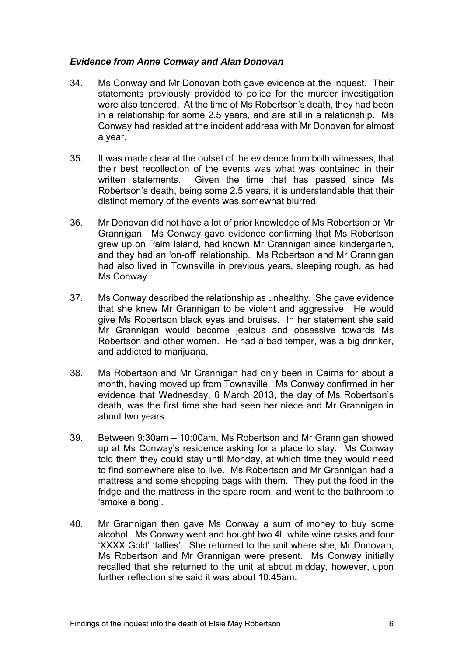# *Evidence from Anne Conway and Alan Donovan*

- 34. Ms Conway and Mr Donovan both gave evidence at the inquest. Their statements previously provided to police for the murder investigation were also tendered. At the time of Ms Robertson's death, they had been in a relationship for some 2.5 years, and are still in a relationship. Ms Conway had resided at the incident address with Mr Donovan for almost a year.
- 35. It was made clear at the outset of the evidence from both witnesses, that their best recollection of the events was what was contained in their written statements. Given the time that has passed since Ms Robertson's death, being some 2.5 years, it is understandable that their distinct memory of the events was somewhat blurred.
- 36. Mr Donovan did not have a lot of prior knowledge of Ms Robertson or Mr Grannigan. Ms Conway gave evidence confirming that Ms Robertson grew up on Palm Island, had known Mr Grannigan since kindergarten, and they had an 'on-off' relationship. Ms Robertson and Mr Grannigan had also lived in Townsville in previous years, sleeping rough, as had Ms Conway.
- 37. Ms Conway described the relationship as unhealthy. She gave evidence that she knew Mr Grannigan to be violent and aggressive. He would give Ms Robertson black eyes and bruises. In her statement she said Mr Grannigan would become jealous and obsessive towards Ms Robertson and other women. He had a bad temper, was a big drinker, and addicted to marijuana.
- 38. Ms Robertson and Mr Grannigan had only been in Cairns for about a month, having moved up from Townsville. Ms Conway confirmed in her evidence that Wednesday, 6 March 2013, the day of Ms Robertson's death, was the first time she had seen her niece and Mr Grannigan in about two years.
- 39. Between 9:30am 10:00am, Ms Robertson and Mr Grannigan showed up at Ms Conway's residence asking for a place to stay. Ms Conway told them they could stay until Monday, at which time they would need to find somewhere else to live. Ms Robertson and Mr Grannigan had a mattress and some shopping bags with them. They put the food in the fridge and the mattress in the spare room, and went to the bathroom to 'smoke a bong'.
- 40. Mr Grannigan then gave Ms Conway a sum of money to buy some alcohol. Ms Conway went and bought two 4L white wine casks and four 'XXXX Gold' 'tallies'. She returned to the unit where she, Mr Donovan, Ms Robertson and Mr Grannigan were present. Ms Conway initially recalled that she returned to the unit at about midday, however, upon further reflection she said it was about 10:45am.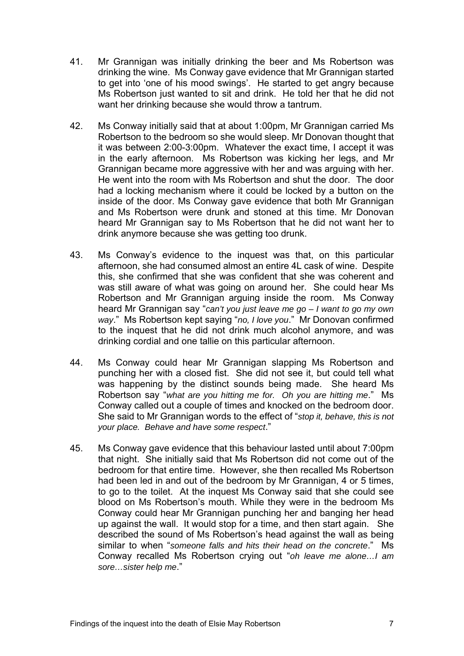- 41. Mr Grannigan was initially drinking the beer and Ms Robertson was drinking the wine. Ms Conway gave evidence that Mr Grannigan started to get into 'one of his mood swings'. He started to get angry because Ms Robertson just wanted to sit and drink. He told her that he did not want her drinking because she would throw a tantrum.
- 42. Ms Conway initially said that at about 1:00pm, Mr Grannigan carried Ms Robertson to the bedroom so she would sleep. Mr Donovan thought that it was between 2:00-3:00pm. Whatever the exact time, I accept it was in the early afternoon. Ms Robertson was kicking her legs, and Mr Grannigan became more aggressive with her and was arguing with her. He went into the room with Ms Robertson and shut the door. The door had a locking mechanism where it could be locked by a button on the inside of the door. Ms Conway gave evidence that both Mr Grannigan and Ms Robertson were drunk and stoned at this time. Mr Donovan heard Mr Grannigan say to Ms Robertson that he did not want her to drink anymore because she was getting too drunk.
- 43. Ms Conway's evidence to the inquest was that, on this particular afternoon, she had consumed almost an entire 4L cask of wine. Despite this, she confirmed that she was confident that she was coherent and was still aware of what was going on around her. She could hear Ms Robertson and Mr Grannigan arguing inside the room. Ms Conway heard Mr Grannigan say "*can't you just leave me go – I want to go my own way*." Ms Robertson kept saying "*no, I love you*." Mr Donovan confirmed to the inquest that he did not drink much alcohol anymore, and was drinking cordial and one tallie on this particular afternoon.
- 44. Ms Conway could hear Mr Grannigan slapping Ms Robertson and punching her with a closed fist. She did not see it, but could tell what was happening by the distinct sounds being made. She heard Ms Robertson say "*what are you hitting me for. Oh you are hitting me*." Ms Conway called out a couple of times and knocked on the bedroom door. She said to Mr Grannigan words to the effect of "*stop it, behave, this is not your place. Behave and have some respect*."
- 45. Ms Conway gave evidence that this behaviour lasted until about 7:00pm that night. She initially said that Ms Robertson did not come out of the bedroom for that entire time. However, she then recalled Ms Robertson had been led in and out of the bedroom by Mr Grannigan, 4 or 5 times, to go to the toilet. At the inquest Ms Conway said that she could see blood on Ms Robertson's mouth. While they were in the bedroom Ms Conway could hear Mr Grannigan punching her and banging her head up against the wall. It would stop for a time, and then start again. She described the sound of Ms Robertson's head against the wall as being similar to when "*someone falls and hits their head on the concrete*." Ms Conway recalled Ms Robertson crying out "*oh leave me alone…I am sore…sister help me*."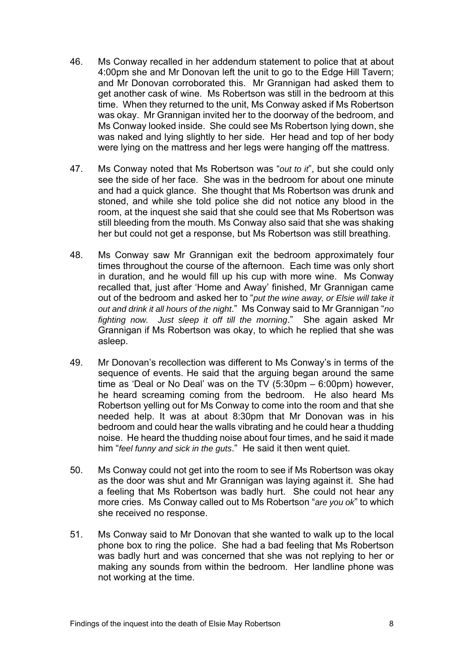- 46. Ms Conway recalled in her addendum statement to police that at about 4:00pm she and Mr Donovan left the unit to go to the Edge Hill Tavern; and Mr Donovan corroborated this. Mr Grannigan had asked them to get another cask of wine. Ms Robertson was still in the bedroom at this time. When they returned to the unit, Ms Conway asked if Ms Robertson was okay. Mr Grannigan invited her to the doorway of the bedroom, and Ms Conway looked inside. She could see Ms Robertson lying down, she was naked and lying slightly to her side. Her head and top of her body were lying on the mattress and her legs were hanging off the mattress.
- 47. Ms Conway noted that Ms Robertson was "*out to it*", but she could only see the side of her face. She was in the bedroom for about one minute and had a quick glance. She thought that Ms Robertson was drunk and stoned, and while she told police she did not notice any blood in the room, at the inquest she said that she could see that Ms Robertson was still bleeding from the mouth. Ms Conway also said that she was shaking her but could not get a response, but Ms Robertson was still breathing.
- 48. Ms Conway saw Mr Grannigan exit the bedroom approximately four times throughout the course of the afternoon. Each time was only short in duration, and he would fill up his cup with more wine. Ms Conway recalled that, just after 'Home and Away' finished, Mr Grannigan came out of the bedroom and asked her to "*put the wine away, or Elsie will take it out and drink it all hours of the night*." Ms Conway said to Mr Grannigan "*no fighting now. Just sleep it off till the morning*." She again asked Mr Grannigan if Ms Robertson was okay, to which he replied that she was asleep.
- 49. Mr Donovan's recollection was different to Ms Conway's in terms of the sequence of events. He said that the arguing began around the same time as 'Deal or No Deal' was on the TV (5:30pm – 6:00pm) however, he heard screaming coming from the bedroom. He also heard Ms Robertson yelling out for Ms Conway to come into the room and that she needed help. It was at about 8:30pm that Mr Donovan was in his bedroom and could hear the walls vibrating and he could hear a thudding noise. He heard the thudding noise about four times, and he said it made him "*feel funny and sick in the guts*." He said it then went quiet.
- 50. Ms Conway could not get into the room to see if Ms Robertson was okay as the door was shut and Mr Grannigan was laying against it. She had a feeling that Ms Robertson was badly hurt. She could not hear any more cries. Ms Conway called out to Ms Robertson "*are you ok*" to which she received no response.
- 51. Ms Conway said to Mr Donovan that she wanted to walk up to the local phone box to ring the police. She had a bad feeling that Ms Robertson was badly hurt and was concerned that she was not replying to her or making any sounds from within the bedroom. Her landline phone was not working at the time.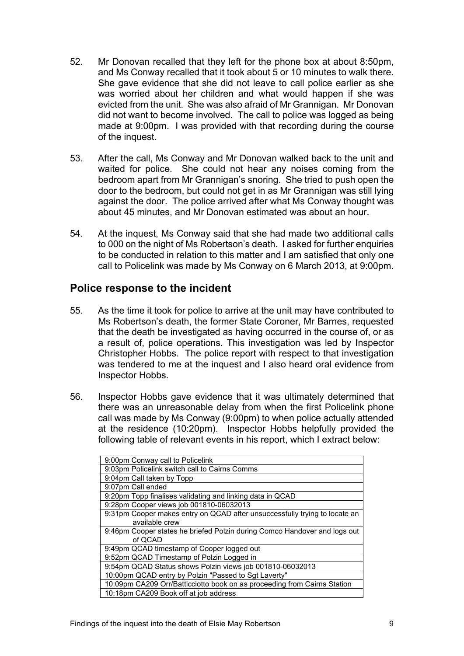- 52. Mr Donovan recalled that they left for the phone box at about 8:50pm, and Ms Conway recalled that it took about 5 or 10 minutes to walk there. She gave evidence that she did not leave to call police earlier as she was worried about her children and what would happen if she was evicted from the unit. She was also afraid of Mr Grannigan. Mr Donovan did not want to become involved. The call to police was logged as being made at 9:00pm. I was provided with that recording during the course of the inquest.
- 53. After the call, Ms Conway and Mr Donovan walked back to the unit and waited for police. She could not hear any noises coming from the bedroom apart from Mr Grannigan's snoring. She tried to push open the door to the bedroom, but could not get in as Mr Grannigan was still lying against the door. The police arrived after what Ms Conway thought was about 45 minutes, and Mr Donovan estimated was about an hour.
- 54. At the inquest, Ms Conway said that she had made two additional calls to 000 on the night of Ms Robertson's death. I asked for further enquiries to be conducted in relation to this matter and I am satisfied that only one call to Policelink was made by Ms Conway on 6 March 2013, at 9:00pm.

# **Police response to the incident**

- 55. As the time it took for police to arrive at the unit may have contributed to Ms Robertson's death, the former State Coroner, Mr Barnes, requested that the death be investigated as having occurred in the course of, or as a result of, police operations. This investigation was led by Inspector Christopher Hobbs. The police report with respect to that investigation was tendered to me at the inquest and I also heard oral evidence from Inspector Hobbs.
- 56. Inspector Hobbs gave evidence that it was ultimately determined that there was an unreasonable delay from when the first Policelink phone call was made by Ms Conway (9:00pm) to when police actually attended at the residence (10:20pm). Inspector Hobbs helpfully provided the following table of relevant events in his report, which I extract below:

| 9:00pm Conway call to Policelink                                           |  |  |
|----------------------------------------------------------------------------|--|--|
| 9:03pm Policelink switch call to Cairns Comms                              |  |  |
| 9:04pm Call taken by Topp                                                  |  |  |
| 9:07pm Call ended                                                          |  |  |
| 9:20pm Topp finalises validating and linking data in QCAD                  |  |  |
| 9:28pm Cooper views job 001810-06032013                                    |  |  |
| 9:31pm Cooper makes entry on QCAD after unsuccessfully trying to locate an |  |  |
| available crew                                                             |  |  |
| 9:46pm Cooper states he briefed Polzin during Comco Handover and logs out  |  |  |
| of QCAD                                                                    |  |  |
| 9:49pm QCAD timestamp of Cooper logged out                                 |  |  |
| 9:52pm QCAD Timestamp of Polzin Logged in                                  |  |  |
| 9:54pm QCAD Status shows Polzin views job 001810-06032013                  |  |  |
| 10:00pm QCAD entry by Polzin "Passed to Sgt Laverty"                       |  |  |
| 10:09pm CA209 Orr/Batticciotto book on as proceeding from Cairns Station   |  |  |
| 10:18pm CA209 Book off at job address                                      |  |  |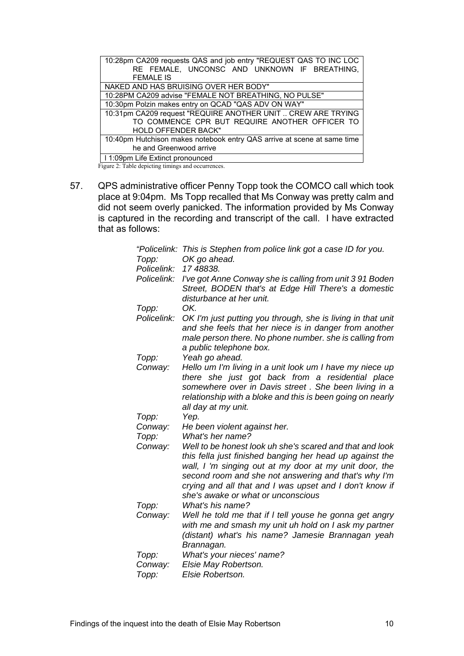| 10:28pm CA209 requests QAS and job entry "REQUEST QAS TO INC LOC        |  |  |
|-------------------------------------------------------------------------|--|--|
| RE FEMALE, UNCONSC AND UNKNOWN IF BREATHING,                            |  |  |
| <b>FEMALE IS</b>                                                        |  |  |
| NAKED AND HAS BRUISING OVER HER BODY"                                   |  |  |
| 10:28PM CA209 advise "FEMALE NOT BREATHING, NO PULSE"                   |  |  |
| 10:30pm Polzin makes entry on QCAD "QAS ADV ON WAY"                     |  |  |
| 10:31pm CA209 request "REQUIRE ANOTHER UNIT  CREW ARE TRYING            |  |  |
| TO COMMENCE CPR BUT REQUIRE ANOTHER OFFICER TO                          |  |  |
| <b>HOLD OFFENDER BACK"</b>                                              |  |  |
| 10:40pm Hutchison makes notebook entry QAS arrive at scene at same time |  |  |
| he and Greenwood arrive                                                 |  |  |
| 11:09pm Life Extinct pronounced                                         |  |  |
| Figure 2: Table depicting timings and occurrences.                      |  |  |

57. QPS administrative officer Penny Topp took the COMCO call which took place at 9:04pm. Ms Topp recalled that Ms Conway was pretty calm and did not seem overly panicked. The information provided by Ms Conway is captured in the recording and transcript of the call. I have extracted that as follows:

|             | "Policelink: This is Stephen from police link got a case ID for you.                                                                                                                                                                                                                                                                    |
|-------------|-----------------------------------------------------------------------------------------------------------------------------------------------------------------------------------------------------------------------------------------------------------------------------------------------------------------------------------------|
| Topp:       | OK go ahead.                                                                                                                                                                                                                                                                                                                            |
| Policelink: | 17 48838.                                                                                                                                                                                                                                                                                                                               |
| Policelink: | I've got Anne Conway she is calling from unit 391 Boden<br>Street, BODEN that's at Edge Hill There's a domestic<br>disturbance at her unit.                                                                                                                                                                                             |
| Topp:       | OK.                                                                                                                                                                                                                                                                                                                                     |
| Policelink: | OK I'm just putting you through, she is living in that unit<br>and she feels that her niece is in danger from another<br>male person there. No phone number. she is calling from<br>a public telephone box.                                                                                                                             |
| Topp:       | Yeah go ahead.                                                                                                                                                                                                                                                                                                                          |
| Conway:     | Hello um I'm living in a unit look um I have my niece up<br>there she just got back from a residential place<br>somewhere over in Davis street. She been living in a<br>relationship with a bloke and this is been going on nearly<br>all day at my unit.                                                                               |
| Topp:       | Yep.                                                                                                                                                                                                                                                                                                                                    |
| Conway:     | He been violent against her.                                                                                                                                                                                                                                                                                                            |
| Topp:       | What's her name?                                                                                                                                                                                                                                                                                                                        |
| Conway:     | Well to be honest look uh she's scared and that and look<br>this fella just finished banging her head up against the<br>wall, I 'm singing out at my door at my unit door, the<br>second room and she not answering and that's why I'm<br>crying and all that and I was upset and I don't know if<br>she's awake or what or unconscious |
| Topp:       | What's his name?                                                                                                                                                                                                                                                                                                                        |
| Conway:     | Well he told me that if I tell youse he gonna get angry<br>with me and smash my unit uh hold on I ask my partner<br>(distant) what's his name? Jamesie Brannagan yeah<br>Brannagan.                                                                                                                                                     |
| Topp:       | What's your nieces' name?                                                                                                                                                                                                                                                                                                               |
| Conway:     | Elsie May Robertson.                                                                                                                                                                                                                                                                                                                    |
| Topp:       | Elsie Robertson.                                                                                                                                                                                                                                                                                                                        |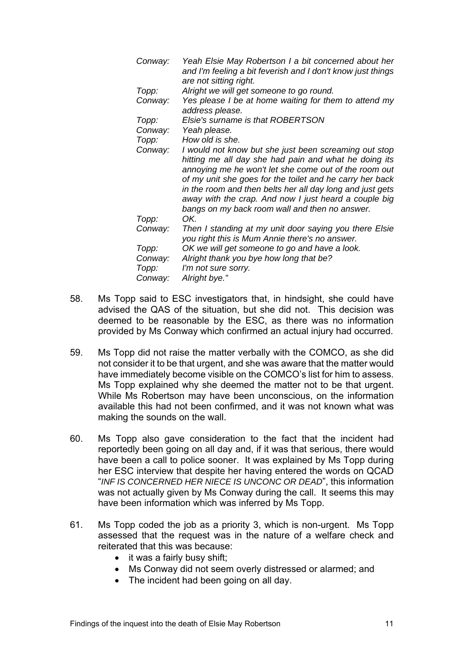| Conway: | Yeah Elsie May Robertson I a bit concerned about her<br>and I'm feeling a bit feverish and I don't know just things |
|---------|---------------------------------------------------------------------------------------------------------------------|
|         | are not sitting right.                                                                                              |
| Topp:   | Alright we will get someone to go round.                                                                            |
| Conway: | Yes please I be at home waiting for them to attend my                                                               |
|         | address please.                                                                                                     |
| Topp:   | Elsie's surname is that ROBERTSON                                                                                   |
| Conway: | Yeah please.                                                                                                        |
| Topp:   | How old is she.                                                                                                     |
| Conway: | I would not know but she just been screaming out stop                                                               |
|         | hitting me all day she had pain and what he doing its                                                               |
|         | annoying me he won't let she come out of the room out                                                               |
|         | of my unit she goes for the toilet and he carry her back                                                            |
|         | in the room and then belts her all day long and just gets                                                           |
|         | away with the crap. And now I just heard a couple big                                                               |
|         | bangs on my back room wall and then no answer.                                                                      |
| Topp:   | OK.                                                                                                                 |
| Conway: | Then I standing at my unit door saying you there Elsie                                                              |
|         | you right this is Mum Annie there's no answer.                                                                      |
| Topp:   | OK we will get someone to go and have a look.                                                                       |
| Conway: | Alright thank you bye how long that be?                                                                             |
| Topp:   | I'm not sure sorry.                                                                                                 |
| Conway: | Alright bye."                                                                                                       |

- 58. Ms Topp said to ESC investigators that, in hindsight, she could have advised the QAS of the situation, but she did not. This decision was deemed to be reasonable by the ESC, as there was no information provided by Ms Conway which confirmed an actual injury had occurred.
- 59. Ms Topp did not raise the matter verbally with the COMCO, as she did not consider it to be that urgent, and she was aware that the matter would have immediately become visible on the COMCO's list for him to assess. Ms Topp explained why she deemed the matter not to be that urgent. While Ms Robertson may have been unconscious, on the information available this had not been confirmed, and it was not known what was making the sounds on the wall.
- 60. Ms Topp also gave consideration to the fact that the incident had reportedly been going on all day and, if it was that serious, there would have been a call to police sooner. It was explained by Ms Topp during her ESC interview that despite her having entered the words on QCAD "*INF IS CONCERNED HER NIECE IS UNCONC OR DEAD*", this information was not actually given by Ms Conway during the call. It seems this may have been information which was inferred by Ms Topp.
- 61. Ms Topp coded the job as a priority 3, which is non-urgent. Ms Topp assessed that the request was in the nature of a welfare check and reiterated that this was because:
	- $\bullet$  it was a fairly busy shift;
	- Ms Conway did not seem overly distressed or alarmed; and
	- The incident had been going on all day.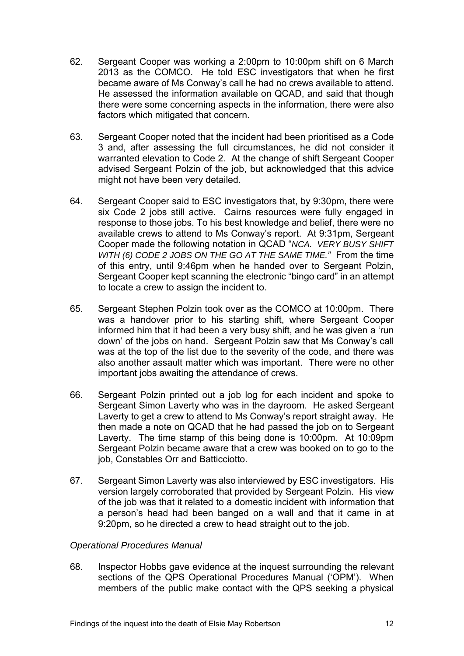- 62. Sergeant Cooper was working a 2:00pm to 10:00pm shift on 6 March 2013 as the COMCO. He told ESC investigators that when he first became aware of Ms Conway's call he had no crews available to attend. He assessed the information available on QCAD, and said that though there were some concerning aspects in the information, there were also factors which mitigated that concern.
- 63. Sergeant Cooper noted that the incident had been prioritised as a Code 3 and, after assessing the full circumstances, he did not consider it warranted elevation to Code 2. At the change of shift Sergeant Cooper advised Sergeant Polzin of the job, but acknowledged that this advice might not have been very detailed.
- 64. Sergeant Cooper said to ESC investigators that, by 9:30pm, there were six Code 2 jobs still active. Cairns resources were fully engaged in response to those jobs. To his best knowledge and belief, there were no available crews to attend to Ms Conway's report. At 9:31pm, Sergeant Cooper made the following notation in QCAD "*NCA. VERY BUSY SHIFT WITH (6) CODE 2 JOBS ON THE GO AT THE SAME TIME."* From the time of this entry, until 9:46pm when he handed over to Sergeant Polzin, Sergeant Cooper kept scanning the electronic "bingo card" in an attempt to locate a crew to assign the incident to.
- 65. Sergeant Stephen Polzin took over as the COMCO at 10:00pm. There was a handover prior to his starting shift, where Sergeant Cooper informed him that it had been a very busy shift, and he was given a 'run down' of the jobs on hand. Sergeant Polzin saw that Ms Conway's call was at the top of the list due to the severity of the code, and there was also another assault matter which was important. There were no other important jobs awaiting the attendance of crews.
- 66. Sergeant Polzin printed out a job log for each incident and spoke to Sergeant Simon Laverty who was in the dayroom. He asked Sergeant Laverty to get a crew to attend to Ms Conway's report straight away. He then made a note on QCAD that he had passed the job on to Sergeant Laverty. The time stamp of this being done is 10:00pm. At 10:09pm Sergeant Polzin became aware that a crew was booked on to go to the job, Constables Orr and Batticciotto.
- 67. Sergeant Simon Laverty was also interviewed by ESC investigators. His version largely corroborated that provided by Sergeant Polzin. His view of the job was that it related to a domestic incident with information that a person's head had been banged on a wall and that it came in at 9:20pm, so he directed a crew to head straight out to the job.

# *Operational Procedures Manual*

68. Inspector Hobbs gave evidence at the inquest surrounding the relevant sections of the QPS Operational Procedures Manual ('OPM'). When members of the public make contact with the QPS seeking a physical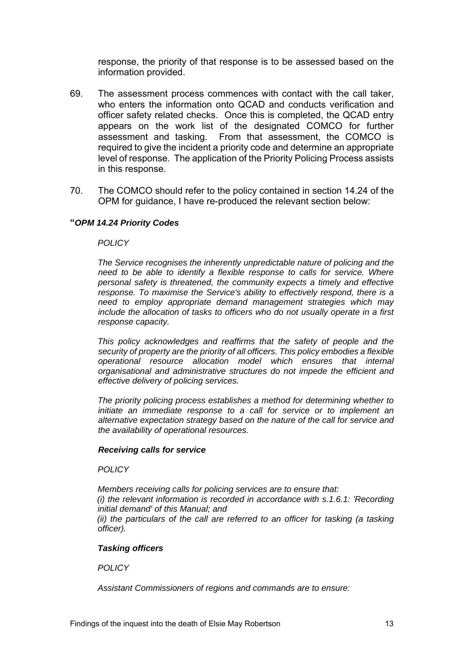response, the priority of that response is to be assessed based on the information provided.

- 69. The assessment process commences with contact with the call taker, who enters the information onto QCAD and conducts verification and officer safety related checks. Once this is completed, the QCAD entry appears on the work list of the designated COMCO for further assessment and tasking. From that assessment, the COMCO is required to give the incident a priority code and determine an appropriate level of response. The application of the Priority Policing Process assists in this response.
- 70. The COMCO should refer to the policy contained in section 14.24 of the OPM for guidance, I have re-produced the relevant section below:

## **"***OPM 14.24 Priority Codes*

## *POLICY*

*The Service recognises the inherently unpredictable nature of policing and the need to be able to identify a flexible response to calls for service. Where personal safety is threatened, the community expects a timely and effective response. To maximise the Service's ability to effectively respond, there is a need to employ appropriate demand management strategies which may include the allocation of tasks to officers who do not usually operate in a first response capacity.* 

*This policy acknowledges and reaffirms that the safety of people and the security of property are the priority of all officers. This policy embodies a flexible operational resource allocation model which ensures that internal organisational and administrative structures do not impede the efficient and effective delivery of policing services.* 

*The priority policing process establishes a method for determining whether to initiate an immediate response to a call for service or to implement an alternative expectation strategy based on the nature of the call for service and the availability of operational resources.* 

## *Receiving calls for service*

## *POLICY*

*Members receiving calls for policing services are to ensure that: (i) the relevant information is recorded in accordance with s.1.6.1: 'Recording initial demand' of this Manual; and (ii)* the particulars of the call are referred to an officer for tasking (a tasking *officer).* 

## *Tasking officers*

*POLICY* 

*Assistant Commissioners of regions and commands are to ensure:*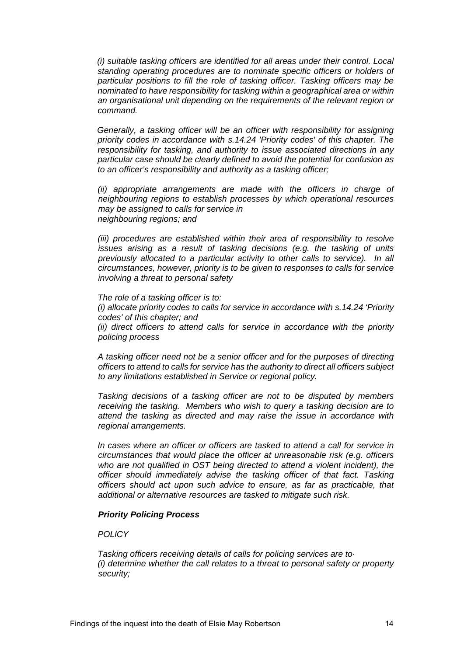*(i) suitable tasking officers are identified for all areas under their control. Local standing operating procedures are to nominate specific officers or holders of particular positions to fill the role of tasking officer. Tasking officers may be nominated to have responsibility for tasking within a geographical area or within an organisational unit depending on the requirements of the relevant region or command.* 

*Generally, a tasking officer will be an officer with responsibility for assigning priority codes in accordance with s.14.24 'Priority codes' of this chapter. The responsibility for tasking, and authority to issue associated directions in any particular case should be clearly defined to avoid the potential for confusion as to an officer's responsibility and authority as a tasking officer;* 

*(ii) appropriate arrangements are made with the officers in charge of neighbouring regions to establish processes by which operational resources may be assigned to calls for service in neighbouring regions; and* 

*(iii) procedures are established within their area of responsibility to resolve issues arising as a result of tasking decisions (e.g. the tasking of units previously allocated to a particular activity to other calls to service). In all circumstances, however, priority is to be given to responses to calls for service involving a threat to personal safety* 

*The role of a tasking officer is to: (i) allocate priority codes to calls for service in accordance with s.14.24 'Priority codes' of this chapter; and (ii) direct officers to attend calls for service in accordance with the priority policing process* 

*A tasking officer need not be a senior officer and for the purposes of directing officers to attend to calls for service has the authority to direct all officers subject to any limitations established in Service or regional policy.* 

*Tasking decisions of a tasking officer are not to be disputed by members receiving the tasking. Members who wish to query a tasking decision are to attend the tasking as directed and may raise the issue in accordance with regional arrangements.* 

*In cases where an officer or officers are tasked to attend a call for service in circumstances that would place the officer at unreasonable risk (e.g. officers who are not qualified in OST being directed to attend a violent incident), the officer should immediately advise the tasking officer of that fact. Tasking officers should act upon such advice to ensure, as far as practicable, that additional or alternative resources are tasked to mitigate such risk.* 

## *Priority Policing Process*

*POLlCY* 

*Tasking officers receiving details of calls for policing services are to· (i) determine whether the call relates to a threat to personal safety or property security;*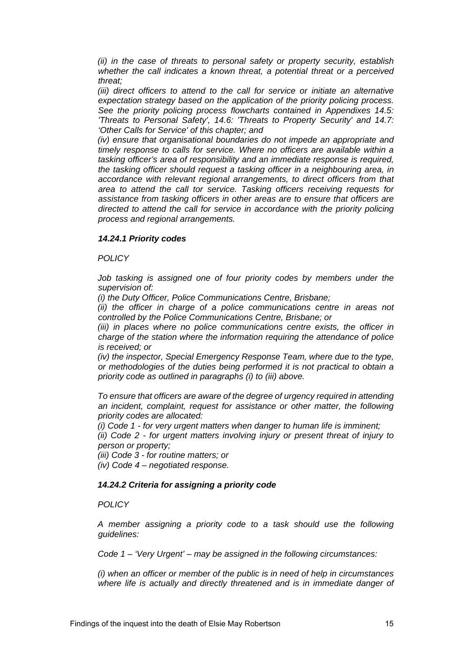*(ii) in the case of threats to personal safety or property security, establish whether the call indicates a known threat, a potential threat or a perceived threat;* 

*(iii) direct officers to attend to the call for service or initiate an alternative expectation strategy based on the application of the priority policing process. See the priority policing process flowcharts contained in Appendixes 14.5: 'Threats to Personal Safety', 14.6: 'Threats to Property Security' and 14.7: 'Other Calls for Service' of this chapter; and* 

*(iv) ensure that organisational boundaries do not impede an appropriate and timely response to calls for service. Where no officers are available within a tasking officer's area of responsibility and an immediate response is required, the tasking officer should request a tasking officer in a neighbouring area, in accordance with relevant regional arrangements, to direct officers from that area to attend the call tor service. Tasking officers receiving requests for assistance from tasking officers in other areas are to ensure that officers are directed to attend the call for service in accordance with the priority policing process and regional arrangements.* 

## *14.24.1 Priority codes*

*POLICY* 

*Job tasking is assigned one of four priority codes by members under the supervision of:* 

*(i) the Duty Officer, Police Communications Centre, Brisbane;* 

*(ii) the officer in charge of a police communications centre in areas not controlled by the Police Communications Centre, Brisbane; or* 

*(iii) in places where no police communications centre exists, the officer in charge of the station where the information requiring the attendance of police is received; or* 

*(iv) the inspector, Special Emergency Response Team, where due to the type, or methodologies of the duties being performed it is not practical to obtain a priority code as outlined in paragraphs (i) to (iii) above.* 

*To ensure that officers are aware of the degree of urgency required in attending an incident, complaint, request for assistance or other matter, the following priority codes are allocated:* 

*(i) Code 1 - for very urgent matters when danger to human life is imminent;* 

*(ii) Code 2 - for urgent matters involving injury or present threat of injury to person or property;* 

*(iii) Code 3 - for routine matters; or* 

*(iv) Code 4 – negotiated response.* 

## *14.24.2 Criteria for assigning a priority code*

*POLICY* 

*A member assigning a priority code to a task should use the following guidelines:* 

*Code 1 – 'Very Urgent' – may be assigned in the following circumstances:* 

*(i) when an officer or member of the public is in need of help in circumstances where life is actually and directly threatened and is in immediate danger of*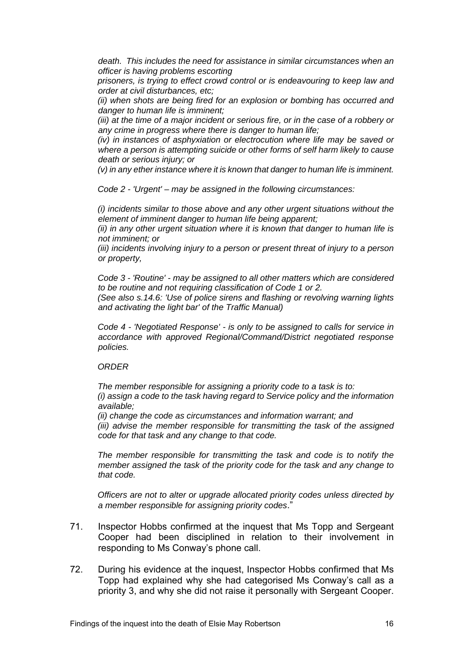death. This includes the need for assistance in similar circumstances when an *officer is having problems escorting* 

*prisoners, is trying to effect crowd control or is endeavouring to keep law and order at civil disturbances, etc;* 

*(ii) when shots are being fired for an explosion or bombing has occurred and danger to human life is imminent;* 

*(iii) at the time of a major incident or serious fire, or in the case of a robbery or any crime in progress where there is danger to human life;* 

*(iv) in instances of asphyxiation or electrocution where life may be saved or where a person is attempting suicide or other forms of self harm likely to cause death or serious injury; or* 

*(v) in any ether instance where it is known that danger to human life is imminent.* 

*Code 2 - 'Urgent' – may be assigned in the following circumstances:* 

*(i) incidents similar to those above and any other urgent situations without the element of imminent danger to human life being apparent;* 

*(ii) in any other urgent situation where it is known that danger to human life is not imminent; or* 

*(iii) incidents involving injury to a person or present threat of injury to a person or property,* 

*Code 3 - 'Routine' - may be assigned to all other matters which are considered to be routine and not requiring classification of Code 1 or 2.* 

*(See also s.14.6: 'Use of police sirens and flashing or revolving warning lights and activating the light bar' of the Traffic Manual)* 

*Code 4 - 'Negotiated Response' - is only to be assigned to calls for service in accordance with approved Regional/Command/District negotiated response policies.* 

#### *ORDER*

*The member responsible for assigning a priority code to a task is to: (i) assign a code to the task having regard to Service policy and the information available;* 

*(ii) change the code as circumstances and information warrant; and (iii) advise the member responsible for transmitting the task of the assigned code for that task and any change to that code.* 

*The member responsible for transmitting the task and code is to notify the member assigned the task of the priority code for the task and any change to that code.* 

*Officers are not to alter or upgrade allocated priority codes unless directed by a member responsible for assigning priority codes*."

- 71. Inspector Hobbs confirmed at the inquest that Ms Topp and Sergeant Cooper had been disciplined in relation to their involvement in responding to Ms Conway's phone call.
- 72. During his evidence at the inquest, Inspector Hobbs confirmed that Ms Topp had explained why she had categorised Ms Conway's call as a priority 3, and why she did not raise it personally with Sergeant Cooper.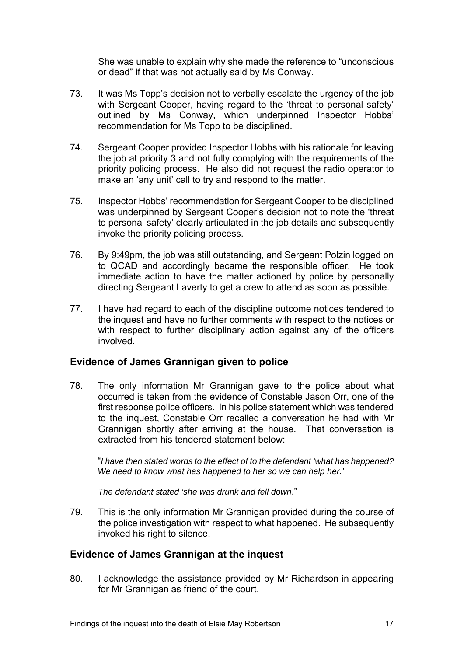She was unable to explain why she made the reference to "unconscious or dead" if that was not actually said by Ms Conway.

- 73. It was Ms Topp's decision not to verbally escalate the urgency of the job with Sergeant Cooper, having regard to the 'threat to personal safety' outlined by Ms Conway, which underpinned Inspector Hobbs' recommendation for Ms Topp to be disciplined.
- 74. Sergeant Cooper provided Inspector Hobbs with his rationale for leaving the job at priority 3 and not fully complying with the requirements of the priority policing process. He also did not request the radio operator to make an 'any unit' call to try and respond to the matter.
- 75. Inspector Hobbs' recommendation for Sergeant Cooper to be disciplined was underpinned by Sergeant Cooper's decision not to note the 'threat to personal safety' clearly articulated in the job details and subsequently invoke the priority policing process.
- 76. By 9:49pm, the job was still outstanding, and Sergeant Polzin logged on to QCAD and accordingly became the responsible officer. He took immediate action to have the matter actioned by police by personally directing Sergeant Laverty to get a crew to attend as soon as possible.
- 77. I have had regard to each of the discipline outcome notices tendered to the inquest and have no further comments with respect to the notices or with respect to further disciplinary action against any of the officers involved.

# **Evidence of James Grannigan given to police**

78. The only information Mr Grannigan gave to the police about what occurred is taken from the evidence of Constable Jason Orr, one of the first response police officers. In his police statement which was tendered to the inquest, Constable Orr recalled a conversation he had with Mr Grannigan shortly after arriving at the house. That conversation is extracted from his tendered statement below:

"*I have then stated words to the effect of to the defendant 'what has happened? We need to know what has happened to her so we can help her.'* 

*The defendant stated 'she was drunk and fell down*."

79. This is the only information Mr Grannigan provided during the course of the police investigation with respect to what happened. He subsequently invoked his right to silence.

# **Evidence of James Grannigan at the inquest**

80. I acknowledge the assistance provided by Mr Richardson in appearing for Mr Grannigan as friend of the court.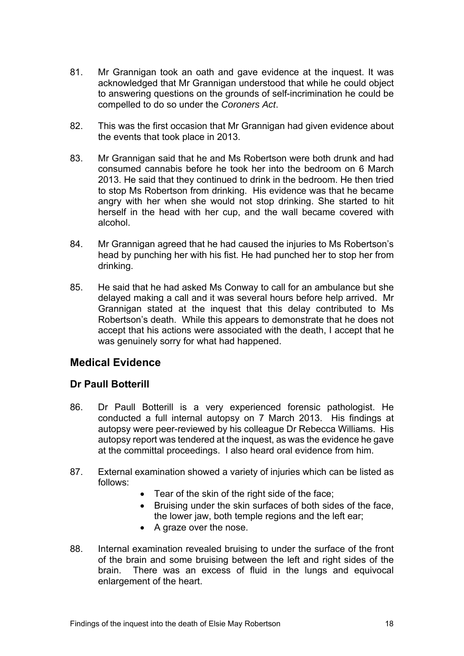- 81. Mr Grannigan took an oath and gave evidence at the inquest. It was acknowledged that Mr Grannigan understood that while he could object to answering questions on the grounds of self-incrimination he could be compelled to do so under the *Coroners Act*.
- 82. This was the first occasion that Mr Grannigan had given evidence about the events that took place in 2013.
- 83. Mr Grannigan said that he and Ms Robertson were both drunk and had consumed cannabis before he took her into the bedroom on 6 March 2013. He said that they continued to drink in the bedroom. He then tried to stop Ms Robertson from drinking. His evidence was that he became angry with her when she would not stop drinking. She started to hit herself in the head with her cup, and the wall became covered with alcohol.
- 84. Mr Grannigan agreed that he had caused the injuries to Ms Robertson's head by punching her with his fist. He had punched her to stop her from drinking.
- 85. He said that he had asked Ms Conway to call for an ambulance but she delayed making a call and it was several hours before help arrived. Mr Grannigan stated at the inquest that this delay contributed to Ms Robertson's death. While this appears to demonstrate that he does not accept that his actions were associated with the death, I accept that he was genuinely sorry for what had happened.

# **Medical Evidence**

# **Dr Paull Botterill**

- 86. Dr Paull Botterill is a very experienced forensic pathologist. He conducted a full internal autopsy on 7 March 2013. His findings at autopsy were peer-reviewed by his colleague Dr Rebecca Williams. His autopsy report was tendered at the inquest, as was the evidence he gave at the committal proceedings. I also heard oral evidence from him.
- 87. External examination showed a variety of injuries which can be listed as follows:
	- Tear of the skin of the right side of the face;
	- Bruising under the skin surfaces of both sides of the face, the lower jaw, both temple regions and the left ear;
	- A graze over the nose.
- 88. Internal examination revealed bruising to under the surface of the front of the brain and some bruising between the left and right sides of the brain. There was an excess of fluid in the lungs and equivocal enlargement of the heart.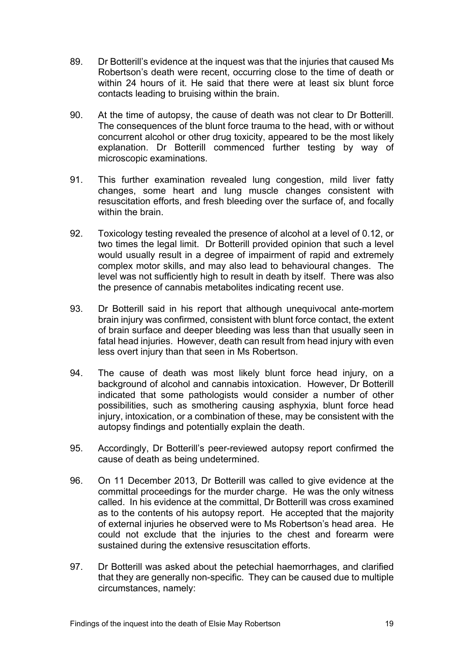- 89. Dr Botterill's evidence at the inquest was that the injuries that caused Ms Robertson's death were recent, occurring close to the time of death or within 24 hours of it. He said that there were at least six blunt force contacts leading to bruising within the brain.
- 90. At the time of autopsy, the cause of death was not clear to Dr Botterill. The consequences of the blunt force trauma to the head, with or without concurrent alcohol or other drug toxicity, appeared to be the most likely explanation. Dr Botterill commenced further testing by way of microscopic examinations.
- 91. This further examination revealed lung congestion, mild liver fatty changes, some heart and lung muscle changes consistent with resuscitation efforts, and fresh bleeding over the surface of, and focally within the brain.
- 92. Toxicology testing revealed the presence of alcohol at a level of 0.12, or two times the legal limit. Dr Botterill provided opinion that such a level would usually result in a degree of impairment of rapid and extremely complex motor skills, and may also lead to behavioural changes. The level was not sufficiently high to result in death by itself. There was also the presence of cannabis metabolites indicating recent use.
- 93. Dr Botterill said in his report that although unequivocal ante-mortem brain injury was confirmed, consistent with blunt force contact, the extent of brain surface and deeper bleeding was less than that usually seen in fatal head injuries. However, death can result from head injury with even less overt injury than that seen in Ms Robertson.
- 94. The cause of death was most likely blunt force head injury, on a background of alcohol and cannabis intoxication. However, Dr Botterill indicated that some pathologists would consider a number of other possibilities, such as smothering causing asphyxia, blunt force head injury, intoxication, or a combination of these, may be consistent with the autopsy findings and potentially explain the death.
- 95. Accordingly, Dr Botterill's peer-reviewed autopsy report confirmed the cause of death as being undetermined.
- 96. On 11 December 2013, Dr Botterill was called to give evidence at the committal proceedings for the murder charge. He was the only witness called. In his evidence at the committal, Dr Botterill was cross examined as to the contents of his autopsy report. He accepted that the majority of external injuries he observed were to Ms Robertson's head area. He could not exclude that the injuries to the chest and forearm were sustained during the extensive resuscitation efforts.
- 97. Dr Botterill was asked about the petechial haemorrhages, and clarified that they are generally non-specific. They can be caused due to multiple circumstances, namely: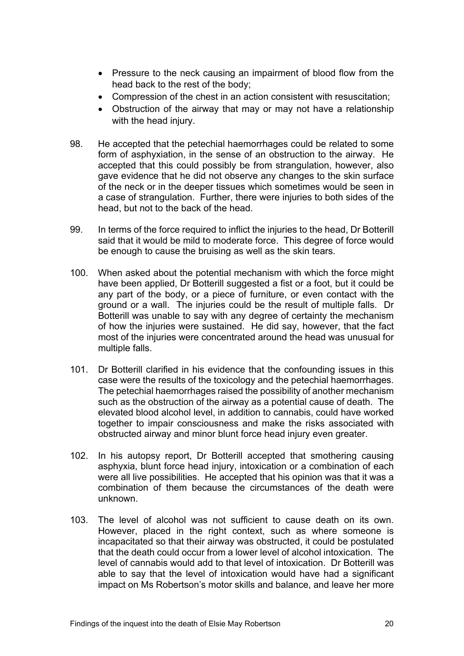- Pressure to the neck causing an impairment of blood flow from the head back to the rest of the body;
- Compression of the chest in an action consistent with resuscitation;
- Obstruction of the airway that may or may not have a relationship with the head injury.
- 98. He accepted that the petechial haemorrhages could be related to some form of asphyxiation, in the sense of an obstruction to the airway. He accepted that this could possibly be from strangulation, however, also gave evidence that he did not observe any changes to the skin surface of the neck or in the deeper tissues which sometimes would be seen in a case of strangulation. Further, there were injuries to both sides of the head, but not to the back of the head.
- 99. In terms of the force required to inflict the injuries to the head, Dr Botterill said that it would be mild to moderate force. This degree of force would be enough to cause the bruising as well as the skin tears.
- 100. When asked about the potential mechanism with which the force might have been applied, Dr Botterill suggested a fist or a foot, but it could be any part of the body, or a piece of furniture, or even contact with the ground or a wall. The injuries could be the result of multiple falls. Dr Botterill was unable to say with any degree of certainty the mechanism of how the injuries were sustained. He did say, however, that the fact most of the injuries were concentrated around the head was unusual for multiple falls.
- 101. Dr Botterill clarified in his evidence that the confounding issues in this case were the results of the toxicology and the petechial haemorrhages. The petechial haemorrhages raised the possibility of another mechanism such as the obstruction of the airway as a potential cause of death. The elevated blood alcohol level, in addition to cannabis, could have worked together to impair consciousness and make the risks associated with obstructed airway and minor blunt force head injury even greater.
- 102. In his autopsy report, Dr Botterill accepted that smothering causing asphyxia, blunt force head injury, intoxication or a combination of each were all live possibilities. He accepted that his opinion was that it was a combination of them because the circumstances of the death were unknown.
- 103. The level of alcohol was not sufficient to cause death on its own. However, placed in the right context, such as where someone is incapacitated so that their airway was obstructed, it could be postulated that the death could occur from a lower level of alcohol intoxication. The level of cannabis would add to that level of intoxication. Dr Botterill was able to say that the level of intoxication would have had a significant impact on Ms Robertson's motor skills and balance, and leave her more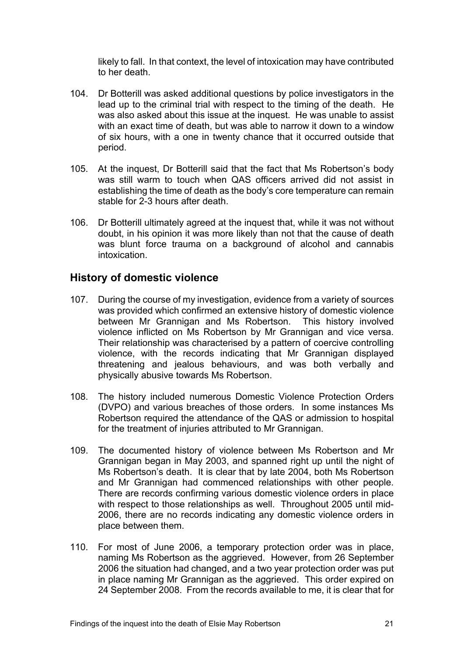likely to fall. In that context, the level of intoxication may have contributed to her death.

- 104. Dr Botterill was asked additional questions by police investigators in the lead up to the criminal trial with respect to the timing of the death. He was also asked about this issue at the inquest. He was unable to assist with an exact time of death, but was able to narrow it down to a window of six hours, with a one in twenty chance that it occurred outside that period.
- 105. At the inquest, Dr Botterill said that the fact that Ms Robertson's body was still warm to touch when QAS officers arrived did not assist in establishing the time of death as the body's core temperature can remain stable for 2-3 hours after death.
- 106. Dr Botterill ultimately agreed at the inquest that, while it was not without doubt, in his opinion it was more likely than not that the cause of death was blunt force trauma on a background of alcohol and cannabis intoxication.

# **History of domestic violence**

- 107. During the course of my investigation, evidence from a variety of sources was provided which confirmed an extensive history of domestic violence between Mr Grannigan and Ms Robertson. This history involved violence inflicted on Ms Robertson by Mr Grannigan and vice versa. Their relationship was characterised by a pattern of coercive controlling violence, with the records indicating that Mr Grannigan displayed threatening and jealous behaviours, and was both verbally and physically abusive towards Ms Robertson.
- 108. The history included numerous Domestic Violence Protection Orders (DVPO) and various breaches of those orders. In some instances Ms Robertson required the attendance of the QAS or admission to hospital for the treatment of injuries attributed to Mr Grannigan.
- 109. The documented history of violence between Ms Robertson and Mr Grannigan began in May 2003, and spanned right up until the night of Ms Robertson's death. It is clear that by late 2004, both Ms Robertson and Mr Grannigan had commenced relationships with other people. There are records confirming various domestic violence orders in place with respect to those relationships as well. Throughout 2005 until mid-2006, there are no records indicating any domestic violence orders in place between them.
- 110. For most of June 2006, a temporary protection order was in place, naming Ms Robertson as the aggrieved. However, from 26 September 2006 the situation had changed, and a two year protection order was put in place naming Mr Grannigan as the aggrieved. This order expired on 24 September 2008. From the records available to me, it is clear that for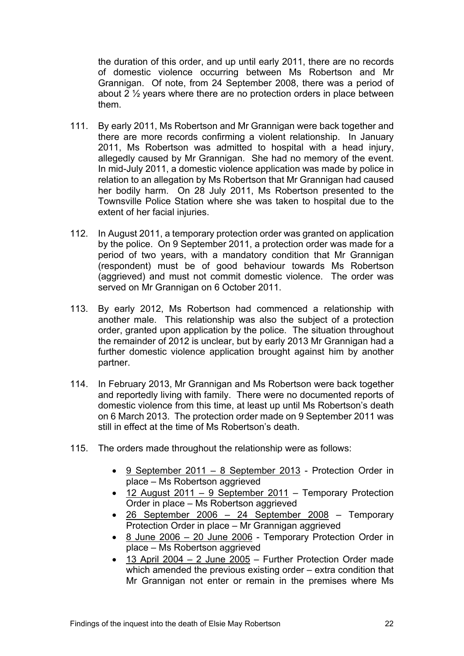the duration of this order, and up until early 2011, there are no records of domestic violence occurring between Ms Robertson and Mr Grannigan. Of note, from 24 September 2008, there was a period of about 2 ½ years where there are no protection orders in place between them.

- 111. By early 2011, Ms Robertson and Mr Grannigan were back together and there are more records confirming a violent relationship. In January 2011, Ms Robertson was admitted to hospital with a head injury, allegedly caused by Mr Grannigan. She had no memory of the event. In mid-July 2011, a domestic violence application was made by police in relation to an allegation by Ms Robertson that Mr Grannigan had caused her bodily harm. On 28 July 2011, Ms Robertson presented to the Townsville Police Station where she was taken to hospital due to the extent of her facial injuries.
- 112. In August 2011, a temporary protection order was granted on application by the police. On 9 September 2011, a protection order was made for a period of two years, with a mandatory condition that Mr Grannigan (respondent) must be of good behaviour towards Ms Robertson (aggrieved) and must not commit domestic violence. The order was served on Mr Grannigan on 6 October 2011.
- 113. By early 2012, Ms Robertson had commenced a relationship with another male. This relationship was also the subject of a protection order, granted upon application by the police. The situation throughout the remainder of 2012 is unclear, but by early 2013 Mr Grannigan had a further domestic violence application brought against him by another partner.
- 114. In February 2013, Mr Grannigan and Ms Robertson were back together and reportedly living with family. There were no documented reports of domestic violence from this time, at least up until Ms Robertson's death on 6 March 2013. The protection order made on 9 September 2011 was still in effect at the time of Ms Robertson's death.
- 115. The orders made throughout the relationship were as follows:
	- 9 September 2011 8 September 2013 Protection Order in place – Ms Robertson aggrieved
	- 12 August 2011 9 September 2011 Temporary Protection Order in place – Ms Robertson aggrieved
	- 26 September 2006 24 September 2008 Temporary Protection Order in place – Mr Grannigan aggrieved
	- 8 June 2006 20 June 2006 Temporary Protection Order in place – Ms Robertson aggrieved
	- 13 April 2004 2 June 2005 Further Protection Order made which amended the previous existing order – extra condition that Mr Grannigan not enter or remain in the premises where Ms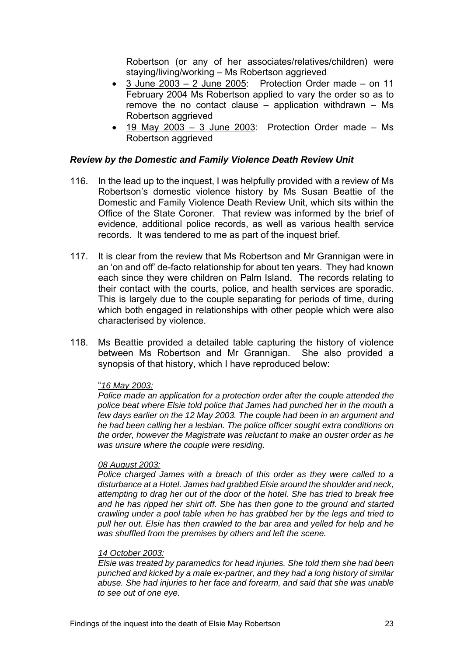Robertson (or any of her associates/relatives/children) were staying/living/working – Ms Robertson aggrieved

- 3 June 2003 2 June 2005: Protection Order made on 11 February 2004 Ms Robertson applied to vary the order so as to remove the no contact clause – application withdrawn – Ms Robertson aggrieved
- $\bullet$  19 May 2003 3 June 2003: Protection Order made Ms Robertson aggrieved

## *Review by the Domestic and Family Violence Death Review Unit*

- 116. In the lead up to the inquest, I was helpfully provided with a review of Ms Robertson's domestic violence history by Ms Susan Beattie of the Domestic and Family Violence Death Review Unit, which sits within the Office of the State Coroner. That review was informed by the brief of evidence, additional police records, as well as various health service records. It was tendered to me as part of the inquest brief.
- 117. It is clear from the review that Ms Robertson and Mr Grannigan were in an 'on and off' de-facto relationship for about ten years. They had known each since they were children on Palm Island. The records relating to their contact with the courts, police, and health services are sporadic. This is largely due to the couple separating for periods of time, during which both engaged in relationships with other people which were also characterised by violence.
- 118. Ms Beattie provided a detailed table capturing the history of violence between Ms Robertson and Mr Grannigan. She also provided a synopsis of that history, which I have reproduced below:

## "*16 May 2003:*

*Police made an application for a protection order after the couple attended the police beat where Elsie told police that James had punched her in the mouth a few days earlier on the 12 May 2003. The couple had been in an argument and he had been calling her a lesbian. The police officer sought extra conditions on the order, however the Magistrate was reluctant to make an ouster order as he was unsure where the couple were residing.* 

## *08 August 2003:*

*Police charged James with a breach of this order as they were called to a disturbance at a Hotel. James had grabbed Elsie around the shoulder and neck, attempting to drag her out of the door of the hotel. She has tried to break free and he has ripped her shirt off. She has then gone to the ground and started crawling under a pool table when he has grabbed her by the legs and tried to pull her out. Elsie has then crawled to the bar area and yelled for help and he was shuffled from the premises by others and left the scene.* 

## *14 October 2003:*

*Elsie was treated by paramedics for head injuries. She told them she had been punched and kicked by a male ex-partner, and they had a long history of similar abuse. She had injuries to her face and forearm, and said that she was unable to see out of one eye.*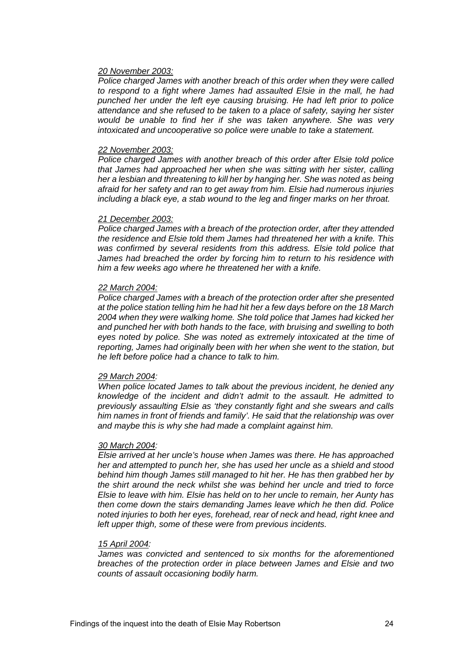#### *20 November 2003:*

*Police charged James with another breach of this order when they were called to respond to a fight where James had assaulted Elsie in the mall, he had punched her under the left eye causing bruising. He had left prior to police attendance and she refused to be taken to a place of safety, saying her sister would be unable to find her if she was taken anywhere. She was very intoxicated and uncooperative so police were unable to take a statement.* 

#### *22 November 2003:*

*Police charged James with another breach of this order after Elsie told police that James had approached her when she was sitting with her sister, calling her a lesbian and threatening to kill her by hanging her. She was noted as being afraid for her safety and ran to get away from him. Elsie had numerous injuries including a black eye, a stab wound to the leg and finger marks on her throat.* 

#### *21 December 2003:*

*Police charged James with a breach of the protection order, after they attended the residence and Elsie told them James had threatened her with a knife. This was confirmed by several residents from this address. Elsie told police that James had breached the order by forcing him to return to his residence with him a few weeks ago where he threatened her with a knife.* 

#### *22 March 2004:*

*Police charged James with a breach of the protection order after she presented at the police station telling him he had hit her a few days before on the 18 March 2004 when they were walking home. She told police that James had kicked her and punched her with both hands to the face, with bruising and swelling to both eyes noted by police. She was noted as extremely intoxicated at the time of reporting, James had originally been with her when she went to the station, but he left before police had a chance to talk to him.* 

#### *29 March 2004:*

*When police located James to talk about the previous incident, he denied any knowledge of the incident and didn't admit to the assault. He admitted to previously assaulting Elsie as 'they constantly fight and she swears and calls him names in front of friends and family'. He said that the relationship was over and maybe this is why she had made a complaint against him.* 

#### *30 March 2004:*

*Elsie arrived at her uncle's house when James was there. He has approached her and attempted to punch her, she has used her uncle as a shield and stood behind him though James still managed to hit her. He has then grabbed her by the shirt around the neck whilst she was behind her uncle and tried to force Elsie to leave with him. Elsie has held on to her uncle to remain, her Aunty has then come down the stairs demanding James leave which he then did. Police noted injuries to both her eyes, forehead, rear of neck and head, right knee and left upper thigh, some of these were from previous incidents.* 

#### *15 April 2004:*

*James was convicted and sentenced to six months for the aforementioned breaches of the protection order in place between James and Elsie and two counts of assault occasioning bodily harm.*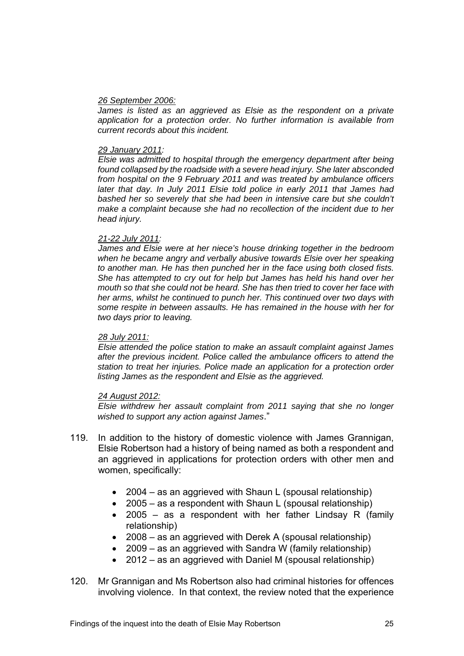## *26 September 2006:*

James is listed as an aggrieved as Elsie as the respondent on a private *application for a protection order. No further information is available from current records about this incident.* 

## *29 January 2011:*

*Elsie was admitted to hospital through the emergency department after being found collapsed by the roadside with a severe head injury. She later absconded from hospital on the 9 February 2011 and was treated by ambulance officers later that day. In July 2011 Elsie told police in early 2011 that James had bashed her so severely that she had been in intensive care but she couldn't make a complaint because she had no recollection of the incident due to her head injury.* 

## *21-22 July 2011:*

*James and Elsie were at her niece's house drinking together in the bedroom when he became angry and verbally abusive towards Elsie over her speaking to another man. He has then punched her in the face using both closed fists. She has attempted to cry out for help but James has held his hand over her mouth so that she could not be heard. She has then tried to cover her face with her arms, whilst he continued to punch her. This continued over two days with some respite in between assaults. He has remained in the house with her for two days prior to leaving.* 

## *28 July 2011:*

*Elsie attended the police station to make an assault complaint against James after the previous incident. Police called the ambulance officers to attend the station to treat her injuries. Police made an application for a protection order listing James as the respondent and Elsie as the aggrieved.* 

## *24 August 2012:*

*Elsie withdrew her assault complaint from 2011 saying that she no longer wished to support any action against James*."

- 119. In addition to the history of domestic violence with James Grannigan, Elsie Robertson had a history of being named as both a respondent and an aggrieved in applications for protection orders with other men and women, specifically:
	- 2004 as an aggrieved with Shaun L (spousal relationship)
	- 2005 as a respondent with Shaun L (spousal relationship)
	- 2005 as a respondent with her father Lindsay R (family relationship)
	- 2008 as an aggrieved with Derek A (spousal relationship)
	- 2009 as an aggrieved with Sandra W (family relationship)
	- 2012 as an aggrieved with Daniel M (spousal relationship)
- 120. Mr Grannigan and Ms Robertson also had criminal histories for offences involving violence. In that context, the review noted that the experience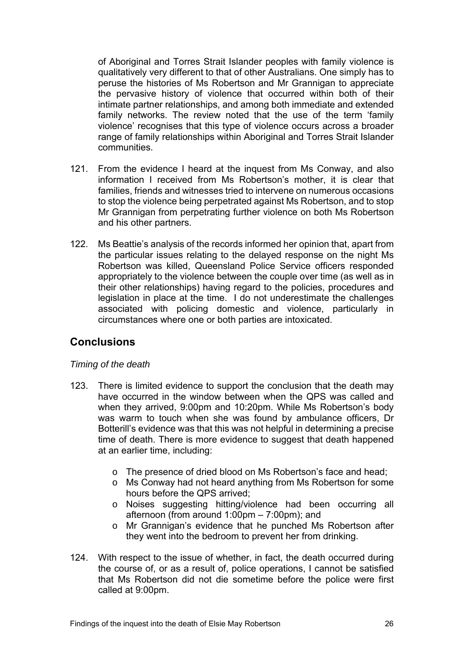of Aboriginal and Torres Strait Islander peoples with family violence is qualitatively very different to that of other Australians. One simply has to peruse the histories of Ms Robertson and Mr Grannigan to appreciate the pervasive history of violence that occurred within both of their intimate partner relationships, and among both immediate and extended family networks. The review noted that the use of the term 'family violence' recognises that this type of violence occurs across a broader range of family relationships within Aboriginal and Torres Strait Islander communities.

- 121. From the evidence I heard at the inquest from Ms Conway, and also information I received from Ms Robertson's mother, it is clear that families, friends and witnesses tried to intervene on numerous occasions to stop the violence being perpetrated against Ms Robertson, and to stop Mr Grannigan from perpetrating further violence on both Ms Robertson and his other partners.
- 122. Ms Beattie's analysis of the records informed her opinion that, apart from the particular issues relating to the delayed response on the night Ms Robertson was killed, Queensland Police Service officers responded appropriately to the violence between the couple over time (as well as in their other relationships) having regard to the policies, procedures and legislation in place at the time. I do not underestimate the challenges associated with policing domestic and violence, particularly in circumstances where one or both parties are intoxicated.

# **Conclusions**

# *Timing of the death*

- 123. There is limited evidence to support the conclusion that the death may have occurred in the window between when the QPS was called and when they arrived, 9:00pm and 10:20pm. While Ms Robertson's body was warm to touch when she was found by ambulance officers, Dr Botterill's evidence was that this was not helpful in determining a precise time of death. There is more evidence to suggest that death happened at an earlier time, including:
	- o The presence of dried blood on Ms Robertson's face and head;
	- o Ms Conway had not heard anything from Ms Robertson for some hours before the QPS arrived;
	- o Noises suggesting hitting/violence had been occurring all afternoon (from around 1:00pm – 7:00pm); and
	- o Mr Grannigan's evidence that he punched Ms Robertson after they went into the bedroom to prevent her from drinking.
- 124. With respect to the issue of whether, in fact, the death occurred during the course of, or as a result of, police operations, I cannot be satisfied that Ms Robertson did not die sometime before the police were first called at 9:00pm.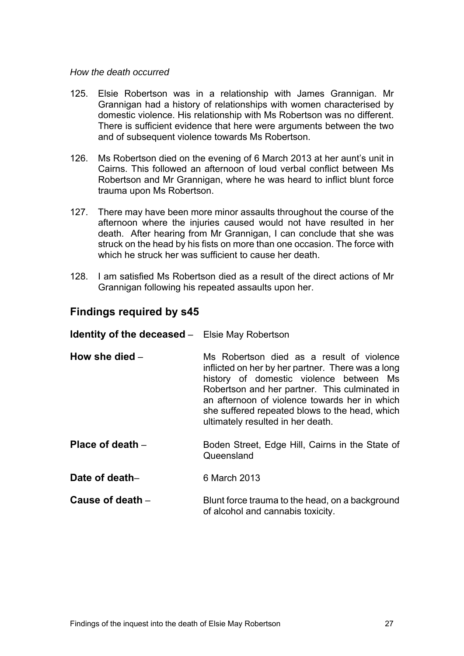## *How the death occurred*

- 125. Elsie Robertson was in a relationship with James Grannigan. Mr Grannigan had a history of relationships with women characterised by domestic violence. His relationship with Ms Robertson was no different. There is sufficient evidence that here were arguments between the two and of subsequent violence towards Ms Robertson.
- 126. Ms Robertson died on the evening of 6 March 2013 at her aunt's unit in Cairns. This followed an afternoon of loud verbal conflict between Ms Robertson and Mr Grannigan, where he was heard to inflict blunt force trauma upon Ms Robertson.
- 127. There may have been more minor assaults throughout the course of the afternoon where the injuries caused would not have resulted in her death. After hearing from Mr Grannigan, I can conclude that she was struck on the head by his fists on more than one occasion. The force with which he struck her was sufficient to cause her death.
- 128. I am satisfied Ms Robertson died as a result of the direct actions of Mr Grannigan following his repeated assaults upon her.

# **Findings required by s45**

| <b>Identity of the deceased -</b> Elsie May Robertson |                                                                                                          |
|-------------------------------------------------------|----------------------------------------------------------------------------------------------------------|
| How she died $-$                                      | Ms Robertson died as a result<br>inflicted on her by her partner. Ther<br>hietony of domoctic violonce h |

fe was a long history of domestic violence between Ms Robertson and her partner. This culminated in an afternoon of violence towards her in which she suffered repeated blows to the head, which ultimately resulted in her death.

- **Place of death** Boden Street, Edge Hill, Cairns in the State of Queensland
- **Date of death–** 6 March 2013
- **Cause of death** Blunt force trauma to the head, on a background of alcohol and cannabis toxicity.

of violence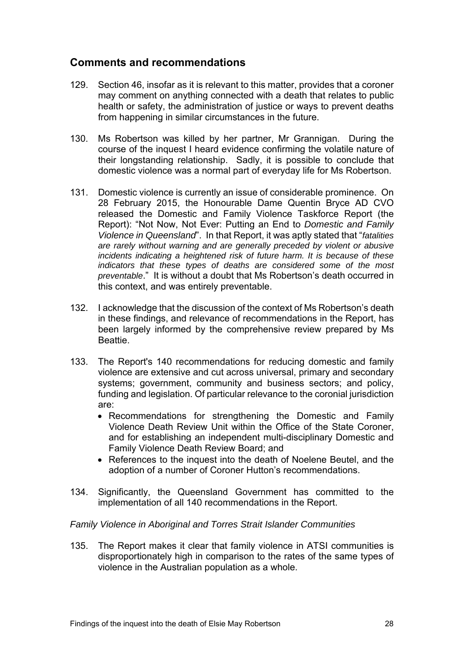# **Comments and recommendations**

- 129. Section 46, insofar as it is relevant to this matter, provides that a coroner may comment on anything connected with a death that relates to public health or safety, the administration of justice or ways to prevent deaths from happening in similar circumstances in the future.
- 130. Ms Robertson was killed by her partner, Mr Grannigan. During the course of the inquest I heard evidence confirming the volatile nature of their longstanding relationship. Sadly, it is possible to conclude that domestic violence was a normal part of everyday life for Ms Robertson.
- 131. Domestic violence is currently an issue of considerable prominence. On 28 February 2015, the Honourable Dame Quentin Bryce AD CVO released the Domestic and Family Violence Taskforce Report (the Report): "Not Now, Not Ever: Putting an End to *Domestic and Family Violence in Queensland*". In that Report, it was aptly stated that "*fatalities are rarely without warning and are generally preceded by violent or abusive incidents indicating a heightened risk of future harm. It is because of these indicators that these types of deaths are considered some of the most preventable*." It is without a doubt that Ms Robertson's death occurred in this context, and was entirely preventable.
- 132. I acknowledge that the discussion of the context of Ms Robertson's death in these findings, and relevance of recommendations in the Report, has been largely informed by the comprehensive review prepared by Ms Beattie.
- 133. The Report's 140 recommendations for reducing domestic and family violence are extensive and cut across universal, primary and secondary systems; government, community and business sectors; and policy, funding and legislation. Of particular relevance to the coronial jurisdiction are:
	- Recommendations for strengthening the Domestic and Family Violence Death Review Unit within the Office of the State Coroner, and for establishing an independent multi-disciplinary Domestic and Family Violence Death Review Board; and
	- References to the inquest into the death of Noelene Beutel, and the adoption of a number of Coroner Hutton's recommendations.
- 134. Significantly, the Queensland Government has committed to the implementation of all 140 recommendations in the Report.

# *Family Violence in Aboriginal and Torres Strait Islander Communities*

135. The Report makes it clear that family violence in ATSI communities is disproportionately high in comparison to the rates of the same types of violence in the Australian population as a whole.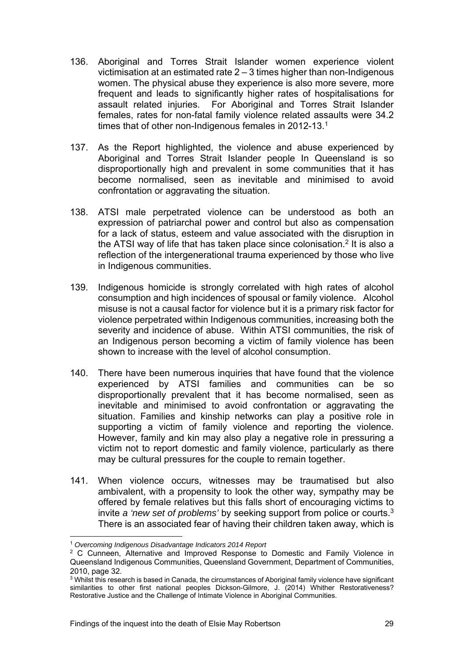- 136. Aboriginal and Torres Strait Islander women experience violent victimisation at an estimated rate 2 – 3 times higher than non-Indigenous women. The physical abuse they experience is also more severe, more frequent and leads to significantly higher rates of hospitalisations for assault related injuries. For Aboriginal and Torres Strait Islander females, rates for non-fatal family violence related assaults were 34.2 times that of other non-Indigenous females in 2012-13.<sup>1</sup>
- 137. As the Report highlighted, the violence and abuse experienced by Aboriginal and Torres Strait Islander people In Queensland is so disproportionally high and prevalent in some communities that it has become normalised, seen as inevitable and minimised to avoid confrontation or aggravating the situation.
- 138. ATSI male perpetrated violence can be understood as both an expression of patriarchal power and control but also as compensation for a lack of status, esteem and value associated with the disruption in the ATSI way of life that has taken place since colonisation.2 It is also a reflection of the intergenerational trauma experienced by those who live in Indigenous communities.
- 139. Indigenous homicide is strongly correlated with high rates of alcohol consumption and high incidences of spousal or family violence. Alcohol misuse is not a causal factor for violence but it is a primary risk factor for violence perpetrated within Indigenous communities, increasing both the severity and incidence of abuse. Within ATSI communities, the risk of an Indigenous person becoming a victim of family violence has been shown to increase with the level of alcohol consumption.
- 140. There have been numerous inquiries that have found that the violence experienced by ATSI families and communities can be so disproportionally prevalent that it has become normalised, seen as inevitable and minimised to avoid confrontation or aggravating the situation. Families and kinship networks can play a positive role in supporting a victim of family violence and reporting the violence. However, family and kin may also play a negative role in pressuring a victim not to report domestic and family violence, particularly as there may be cultural pressures for the couple to remain together.
- 141. When violence occurs, witnesses may be traumatised but also ambivalent, with a propensity to look the other way, sympathy may be offered by female relatives but this falls short of encouraging victims to invite *a 'new set of problems'* by seeking support from police or courts.3 There is an associated fear of having their children taken away, which is

<sup>&</sup>lt;sup>1</sup> Overcoming Indigenous Disadvantage Indicators 2014 Report<br><sup>2</sup> C Cunneen, Alternative and Improved Response to Domestic and Family Violence in Queensland Indigenous Communities, Queensland Government, Department of Communities, 2010, page 32.

<sup>3</sup> Whilst this research is based in Canada, the circumstances of Aboriginal family violence have significant similarities to other first national peoples Dickson-Gilmore, J. (2014) Whither Restorativeness? Restorative Justice and the Challenge of Intimate Violence in Aboriginal Communities.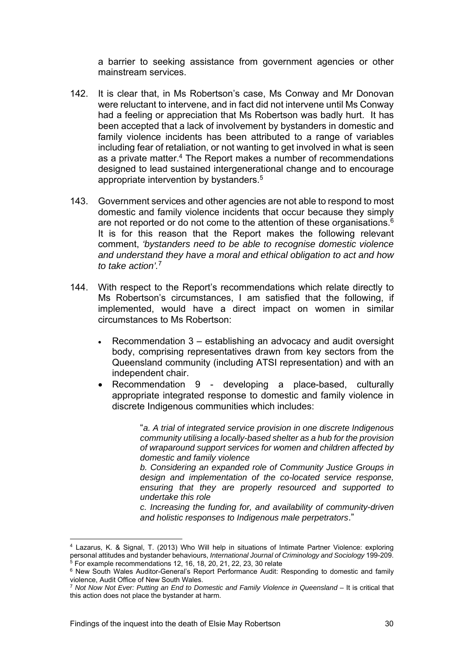a barrier to seeking assistance from government agencies or other mainstream services.

- 142. It is clear that, in Ms Robertson's case, Ms Conway and Mr Donovan were reluctant to intervene, and in fact did not intervene until Ms Conway had a feeling or appreciation that Ms Robertson was badly hurt. It has been accepted that a lack of involvement by bystanders in domestic and family violence incidents has been attributed to a range of variables including fear of retaliation, or not wanting to get involved in what is seen as a private matter.<sup>4</sup> The Report makes a number of recommendations designed to lead sustained intergenerational change and to encourage appropriate intervention by bystanders.5
- 143. Government services and other agencies are not able to respond to most domestic and family violence incidents that occur because they simply are not reported or do not come to the attention of these organisations.<sup>6</sup> It is for this reason that the Report makes the following relevant comment, *'bystanders need to be able to recognise domestic violence and understand they have a moral and ethical obligation to act and how to take action'.*<sup>7</sup>
- 144. With respect to the Report's recommendations which relate directly to Ms Robertson's circumstances, I am satisfied that the following, if implemented, would have a direct impact on women in similar circumstances to Ms Robertson:
	- Recommendation 3 establishing an advocacy and audit oversight body, comprising representatives drawn from key sectors from the Queensland community (including ATSI representation) and with an independent chair.
	- Recommendation 9 developing a place-based, culturally appropriate integrated response to domestic and family violence in discrete Indigenous communities which includes:

 "*a. A trial of integrated service provision in one discrete Indigenous community utilising a locally-based shelter as a hub for the provision of wraparound support services for women and children affected by domestic and family violence* 

*b. Considering an expanded role of Community Justice Groups in design and implementation of the co-located service response, ensuring that they are properly resourced and supported to undertake this role* 

*c. Increasing the funding for, and availability of community-driven and holistic responses to Indigenous male perpetrators*."

 4 Lazarus, K. & Signal, T. (2013) Who Will help in situations of Intimate Partner Violence: exploring Figure 1.1 and bystander behaviours, *International Journal of Criminology and Sociology* 199-209.<br>
<sup>5</sup> For example recommendations 12, 16, 18, 20, 21, 22, 23, 30 relate<br>
<sup>6</sup> New South Wales Auditor-General's Report Perfor

<sup>&</sup>lt;sup>7</sup> Not Now Not Ever: Putting an End to Domestic and Family Violence in Queensland – It is critical that this action does not place the bystander at harm.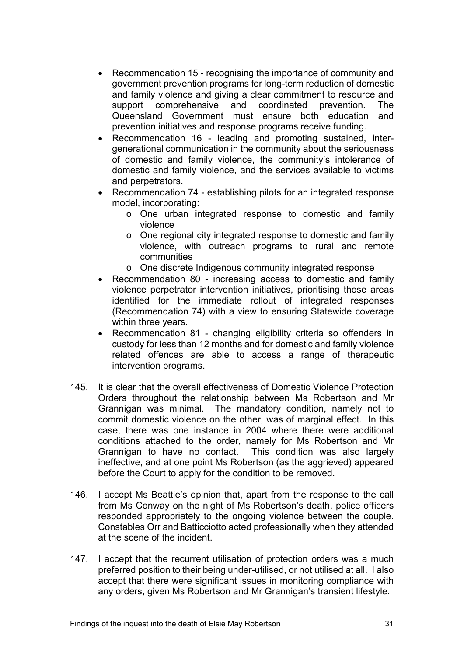- Recommendation 15 recognising the importance of community and government prevention programs for long-term reduction of domestic and family violence and giving a clear commitment to resource and support comprehensive and coordinated prevention. The Queensland Government must ensure both education and prevention initiatives and response programs receive funding.
- Recommendation 16 leading and promoting sustained, intergenerational communication in the community about the seriousness of domestic and family violence, the community's intolerance of domestic and family violence, and the services available to victims and perpetrators.
- Recommendation 74 establishing pilots for an integrated response model, incorporating:
	- o One urban integrated response to domestic and family violence
	- o One regional city integrated response to domestic and family violence, with outreach programs to rural and remote communities
	- o One discrete Indigenous community integrated response
- Recommendation 80 increasing access to domestic and family violence perpetrator intervention initiatives, prioritising those areas identified for the immediate rollout of integrated responses (Recommendation 74) with a view to ensuring Statewide coverage within three years.
- Recommendation 81 changing eligibility criteria so offenders in custody for less than 12 months and for domestic and family violence related offences are able to access a range of therapeutic intervention programs.
- 145. It is clear that the overall effectiveness of Domestic Violence Protection Orders throughout the relationship between Ms Robertson and Mr Grannigan was minimal. The mandatory condition, namely not to commit domestic violence on the other, was of marginal effect. In this case, there was one instance in 2004 where there were additional conditions attached to the order, namely for Ms Robertson and Mr Grannigan to have no contact. This condition was also largely ineffective, and at one point Ms Robertson (as the aggrieved) appeared before the Court to apply for the condition to be removed.
- 146. I accept Ms Beattie's opinion that, apart from the response to the call from Ms Conway on the night of Ms Robertson's death, police officers responded appropriately to the ongoing violence between the couple. Constables Orr and Batticciotto acted professionally when they attended at the scene of the incident.
- 147. I accept that the recurrent utilisation of protection orders was a much preferred position to their being under-utilised, or not utilised at all. I also accept that there were significant issues in monitoring compliance with any orders, given Ms Robertson and Mr Grannigan's transient lifestyle.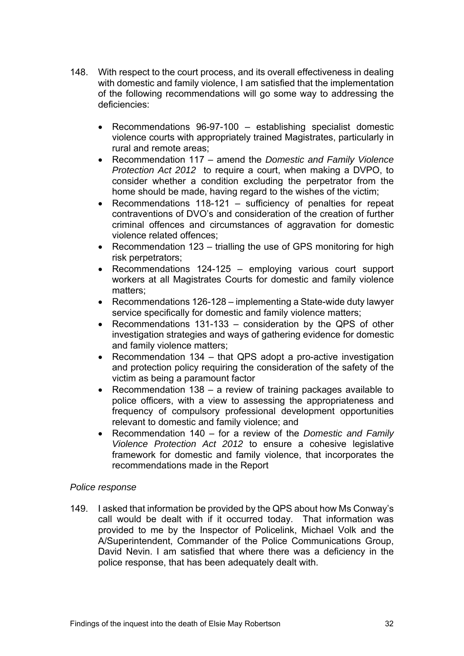- 148. With respect to the court process, and its overall effectiveness in dealing with domestic and family violence, I am satisfied that the implementation of the following recommendations will go some way to addressing the deficiencies:
	- Recommendations 96-97-100 establishing specialist domestic violence courts with appropriately trained Magistrates, particularly in rural and remote areas;
	- Recommendation 117 amend the *Domestic and Family Violence Protection Act 2012* to require a court, when making a DVPO, to consider whether a condition excluding the perpetrator from the home should be made, having regard to the wishes of the victim;
	- Recommendations 118-121 sufficiency of penalties for repeat contraventions of DVO's and consideration of the creation of further criminal offences and circumstances of aggravation for domestic violence related offences;
	- Recommendation 123 trialling the use of GPS monitoring for high risk perpetrators;
	- Recommendations 124-125 emploving various court support workers at all Magistrates Courts for domestic and family violence matters;
	- Recommendations 126-128 implementing a State-wide duty lawyer service specifically for domestic and family violence matters;
	- Recommendations 131-133 consideration by the QPS of other investigation strategies and ways of gathering evidence for domestic and family violence matters;
	- Recommendation 134 that QPS adopt a pro-active investigation and protection policy requiring the consideration of the safety of the victim as being a paramount factor
	- Recommendation 138 a review of training packages available to police officers, with a view to assessing the appropriateness and frequency of compulsory professional development opportunities relevant to domestic and family violence; and
	- Recommendation 140 for a review of the *Domestic and Family Violence Protection Act 2012* to ensure a cohesive legislative framework for domestic and family violence, that incorporates the recommendations made in the Report

# *Police response*

149. I asked that information be provided by the QPS about how Ms Conway's call would be dealt with if it occurred today. That information was provided to me by the Inspector of Policelink, Michael Volk and the A/Superintendent, Commander of the Police Communications Group, David Nevin. I am satisfied that where there was a deficiency in the police response, that has been adequately dealt with.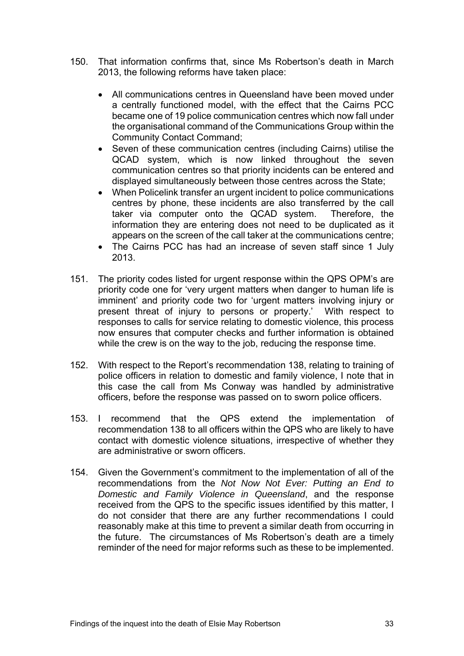- 150. That information confirms that, since Ms Robertson's death in March 2013, the following reforms have taken place:
	- All communications centres in Queensland have been moved under a centrally functioned model, with the effect that the Cairns PCC became one of 19 police communication centres which now fall under the organisational command of the Communications Group within the Community Contact Command;
	- Seven of these communication centres (including Cairns) utilise the QCAD system, which is now linked throughout the seven communication centres so that priority incidents can be entered and displayed simultaneously between those centres across the State;
	- When Policelink transfer an urgent incident to police communications centres by phone, these incidents are also transferred by the call taker via computer onto the QCAD system. Therefore, the information they are entering does not need to be duplicated as it appears on the screen of the call taker at the communications centre;
	- The Cairns PCC has had an increase of seven staff since 1 July 2013.
- 151. The priority codes listed for urgent response within the QPS OPM's are priority code one for 'very urgent matters when danger to human life is imminent' and priority code two for 'urgent matters involving injury or present threat of injury to persons or property.' With respect to responses to calls for service relating to domestic violence, this process now ensures that computer checks and further information is obtained while the crew is on the way to the job, reducing the response time.
- 152. With respect to the Report's recommendation 138, relating to training of police officers in relation to domestic and family violence, I note that in this case the call from Ms Conway was handled by administrative officers, before the response was passed on to sworn police officers.
- 153. I recommend that the QPS extend the implementation of recommendation 138 to all officers within the QPS who are likely to have contact with domestic violence situations, irrespective of whether they are administrative or sworn officers.
- 154. Given the Government's commitment to the implementation of all of the recommendations from the *Not Now Not Ever: Putting an End to Domestic and Family Violence in Queensland*, and the response received from the QPS to the specific issues identified by this matter, I do not consider that there are any further recommendations I could reasonably make at this time to prevent a similar death from occurring in the future. The circumstances of Ms Robertson's death are a timely reminder of the need for major reforms such as these to be implemented.